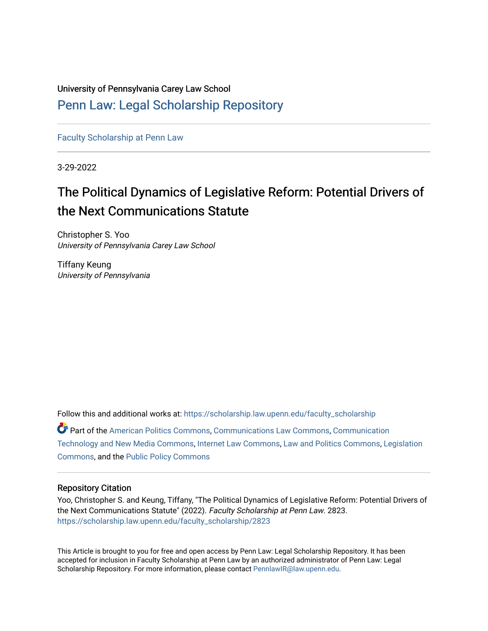## University of Pennsylvania Carey Law School

## [Penn Law: Legal Scholarship Repository](https://scholarship.law.upenn.edu/)

[Faculty Scholarship at Penn Law](https://scholarship.law.upenn.edu/faculty_scholarship)

3-29-2022

# The Political Dynamics of Legislative Reform: Potential Drivers of the Next Communications Statute

Christopher S. Yoo University of Pennsylvania Carey Law School

Tiffany Keung University of Pennsylvania

Follow this and additional works at: [https://scholarship.law.upenn.edu/faculty\\_scholarship](https://scholarship.law.upenn.edu/faculty_scholarship?utm_source=scholarship.law.upenn.edu%2Ffaculty_scholarship%2F2823&utm_medium=PDF&utm_campaign=PDFCoverPages)  Part of the [American Politics Commons,](http://network.bepress.com/hgg/discipline/387?utm_source=scholarship.law.upenn.edu%2Ffaculty_scholarship%2F2823&utm_medium=PDF&utm_campaign=PDFCoverPages) [Communications Law Commons,](http://network.bepress.com/hgg/discipline/587?utm_source=scholarship.law.upenn.edu%2Ffaculty_scholarship%2F2823&utm_medium=PDF&utm_campaign=PDFCoverPages) [Communication](http://network.bepress.com/hgg/discipline/327?utm_source=scholarship.law.upenn.edu%2Ffaculty_scholarship%2F2823&utm_medium=PDF&utm_campaign=PDFCoverPages)  [Technology and New Media Commons](http://network.bepress.com/hgg/discipline/327?utm_source=scholarship.law.upenn.edu%2Ffaculty_scholarship%2F2823&utm_medium=PDF&utm_campaign=PDFCoverPages), [Internet Law Commons](http://network.bepress.com/hgg/discipline/892?utm_source=scholarship.law.upenn.edu%2Ffaculty_scholarship%2F2823&utm_medium=PDF&utm_campaign=PDFCoverPages), [Law and Politics Commons](http://network.bepress.com/hgg/discipline/867?utm_source=scholarship.law.upenn.edu%2Ffaculty_scholarship%2F2823&utm_medium=PDF&utm_campaign=PDFCoverPages), [Legislation](http://network.bepress.com/hgg/discipline/859?utm_source=scholarship.law.upenn.edu%2Ffaculty_scholarship%2F2823&utm_medium=PDF&utm_campaign=PDFCoverPages) [Commons](http://network.bepress.com/hgg/discipline/859?utm_source=scholarship.law.upenn.edu%2Ffaculty_scholarship%2F2823&utm_medium=PDF&utm_campaign=PDFCoverPages), and the [Public Policy Commons](http://network.bepress.com/hgg/discipline/400?utm_source=scholarship.law.upenn.edu%2Ffaculty_scholarship%2F2823&utm_medium=PDF&utm_campaign=PDFCoverPages) 

## Repository Citation

Yoo, Christopher S. and Keung, Tiffany, "The Political Dynamics of Legislative Reform: Potential Drivers of the Next Communications Statute" (2022). Faculty Scholarship at Penn Law. 2823. [https://scholarship.law.upenn.edu/faculty\\_scholarship/2823](https://scholarship.law.upenn.edu/faculty_scholarship/2823?utm_source=scholarship.law.upenn.edu%2Ffaculty_scholarship%2F2823&utm_medium=PDF&utm_campaign=PDFCoverPages)

This Article is brought to you for free and open access by Penn Law: Legal Scholarship Repository. It has been accepted for inclusion in Faculty Scholarship at Penn Law by an authorized administrator of Penn Law: Legal Scholarship Repository. For more information, please contact [PennlawIR@law.upenn.edu.](mailto:PennlawIR@law.upenn.edu)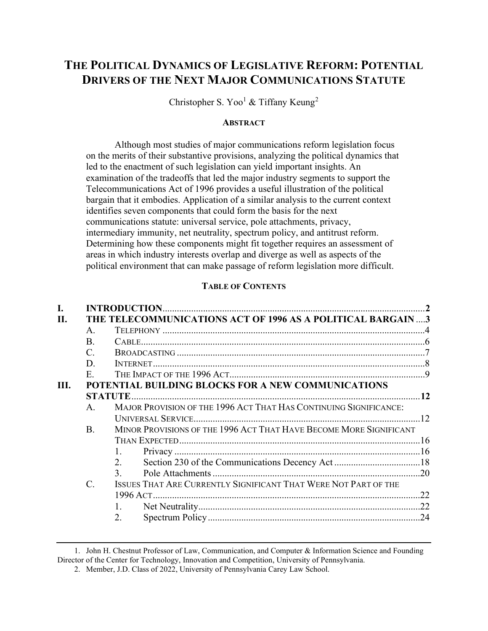## THE POLITICAL DYNAMICS OF LEGISLATIVE REFORM: POTENTIAL DRIVERS OF THE NEXT MAJOR COMMUNICATIONS STATUTE

Christopher S. Yoo<sup>1</sup> & Tiffany Keung<sup>2</sup>

## **ABSTRACT**

Although most studies of major communications reform legislation focus on the merits of their substantive provisions, analyzing the political dynamics that led to the enactment of such legislation can yield important insights. An examination of the tradeoffs that led the major industry segments to support the Telecommunications Act of 1996 provides a useful illustration of the political bargain that it embodies. Application of a similar analysis to the current context identifies seven components that could form the basis for the next communications statute: universal service, pole attachments, privacy, intermediary immunity, net neutrality, spectrum policy, and antitrust reform. Determining how these components might fit together requires an assessment of areas in which industry interests overlap and diverge as well as aspects of the political environment that can make passage of reform legislation more difficult.

## TABLE OF CONTENTS

| П.   |                 | THE TELECOMMUNICATIONS ACT OF 1996 AS A POLITICAL BARGAIN 3        |  |  |  |  |
|------|-----------------|--------------------------------------------------------------------|--|--|--|--|
|      | $\mathbf{A}$ .  |                                                                    |  |  |  |  |
|      | B.              |                                                                    |  |  |  |  |
|      | $\mathcal{C}$   |                                                                    |  |  |  |  |
|      | D.              |                                                                    |  |  |  |  |
|      | E.              |                                                                    |  |  |  |  |
| III. |                 | POTENTIAL BUILDING BLOCKS FOR A NEW COMMUNICATIONS                 |  |  |  |  |
|      |                 |                                                                    |  |  |  |  |
|      | $\mathsf{A}$ .  | MAJOR PROVISION OF THE 1996 ACT THAT HAS CONTINUING SIGNIFICANCE:  |  |  |  |  |
|      |                 |                                                                    |  |  |  |  |
|      | <b>B.</b>       | MINOR PROVISIONS OF THE 1996 ACT THAT HAVE BECOME MORE SIGNIFICANT |  |  |  |  |
|      |                 |                                                                    |  |  |  |  |
|      |                 |                                                                    |  |  |  |  |
|      |                 | 2.                                                                 |  |  |  |  |
|      |                 | 3.                                                                 |  |  |  |  |
|      | $\mathcal{C}$ . | ISSUES THAT ARE CURRENTLY SIGNIFICANT THAT WERE NOT PART OF THE    |  |  |  |  |
|      |                 |                                                                    |  |  |  |  |
|      |                 |                                                                    |  |  |  |  |
|      |                 | 2.                                                                 |  |  |  |  |

 <sup>1.</sup> John H. Chestnut Professor of Law, Communication, and Computer & Information Science and Founding Director of the Center for Technology, Innovation and Competition, University of Pennsylvania.

 <sup>2.</sup> Member, J.D. Class of 2022, University of Pennsylvania Carey Law School.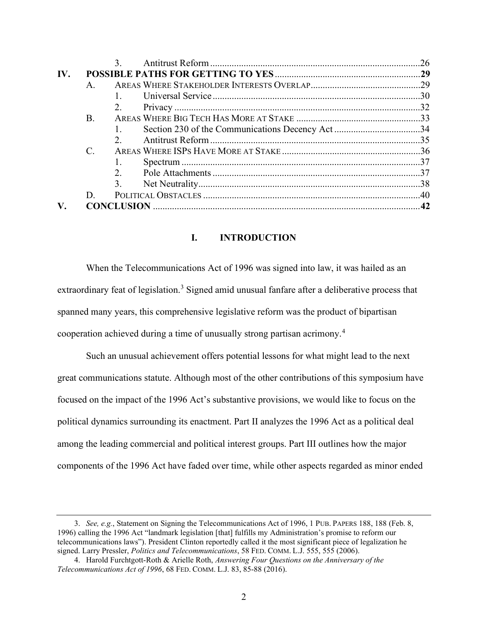|     |               | $\mathbf{3}$ . |  |  |
|-----|---------------|----------------|--|--|
| IV. |               |                |  |  |
|     | A.            |                |  |  |
|     |               |                |  |  |
|     |               | 2.             |  |  |
|     | В.            |                |  |  |
|     |               |                |  |  |
|     |               | $\mathcal{D}$  |  |  |
|     | $\mathcal{C}$ |                |  |  |
|     |               |                |  |  |
|     |               | $\mathcal{D}$  |  |  |
|     |               | 3.             |  |  |
|     | D.            |                |  |  |
|     |               |                |  |  |
|     |               |                |  |  |

## I. INTRODUCTION

When the Telecommunications Act of 1996 was signed into law, it was hailed as an extraordinary feat of legislation.<sup>3</sup> Signed amid unusual fanfare after a deliberative process that spanned many years, this comprehensive legislative reform was the product of bipartisan cooperation achieved during a time of unusually strong partisan acrimony.<sup>4</sup>

Such an unusual achievement offers potential lessons for what might lead to the next great communications statute. Although most of the other contributions of this symposium have focused on the impact of the 1996 Act's substantive provisions, we would like to focus on the political dynamics surrounding its enactment. Part II analyzes the 1996 Act as a political deal among the leading commercial and political interest groups. Part III outlines how the major components of the 1996 Act have faded over time, while other aspects regarded as minor ended

<sup>3.</sup> See, e.g., Statement on Signing the Telecommunications Act of 1996, 1 PUB. PAPERS 188, 188 (Feb. 8, 1996) calling the 1996 Act "landmark legislation [that] fulfills my Administration's promise to reform our telecommunications laws"). President Clinton reportedly called it the most significant piece of legalization he signed. Larry Pressler, Politics and Telecommunications, 58 FED. COMM. L.J. 555, 555 (2006).

<sup>4.</sup> Harold Furchtgott-Roth & Arielle Roth, Answering Four Questions on the Anniversary of the Telecommunications Act of 1996, 68 FED. COMM. L.J. 83, 85-88 (2016).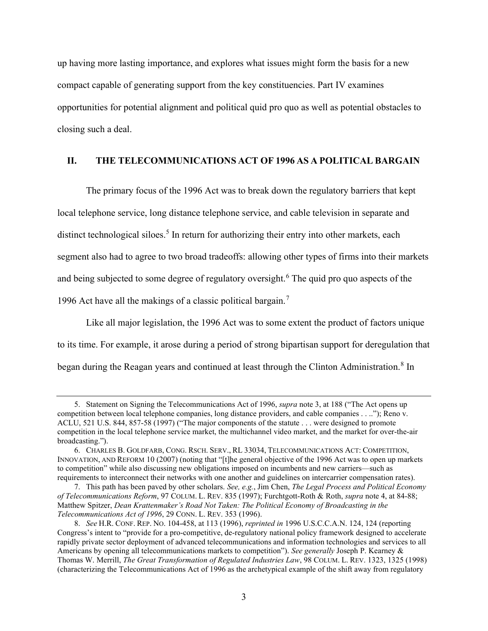up having more lasting importance, and explores what issues might form the basis for a new compact capable of generating support from the key constituencies. Part IV examines opportunities for potential alignment and political quid pro quo as well as potential obstacles to closing such a deal.

## II. THE TELECOMMUNICATIONS ACT OF 1996 AS A POLITICAL BARGAIN

The primary focus of the 1996 Act was to break down the regulatory barriers that kept local telephone service, long distance telephone service, and cable television in separate and distinct technological siloes.<sup>5</sup> In return for authorizing their entry into other markets, each segment also had to agree to two broad tradeoffs: allowing other types of firms into their markets and being subjected to some degree of regulatory oversight.<sup>6</sup> The quid pro quo aspects of the 1996 Act have all the makings of a classic political bargain.<sup>7</sup>

Like all major legislation, the 1996 Act was to some extent the product of factors unique to its time. For example, it arose during a period of strong bipartisan support for deregulation that began during the Reagan years and continued at least through the Clinton Administration.<sup>8</sup> In

<sup>5.</sup> Statement on Signing the Telecommunications Act of 1996, *supra* note 3, at 188 ("The Act opens up competition between local telephone companies, long distance providers, and cable companies . . .."); Reno v. ACLU, 521 U.S. 844, 857-58 (1997) ("The major components of the statute . . . were designed to promote competition in the local telephone service market, the multichannel video market, and the market for over-the-air broadcasting.").

 <sup>6.</sup> CHARLES B. GOLDFARB, CONG. RSCH. SERV., RL 33034, TELECOMMUNICATIONS ACT: COMPETITION, INNOVATION, AND REFORM 10 (2007) (noting that "[t]he general objective of the 1996 Act was to open up markets to competition" while also discussing new obligations imposed on incumbents and new carriers—such as requirements to interconnect their networks with one another and guidelines on intercarrier compensation rates).

<sup>7.</sup> This path has been paved by other scholars. See, e.g., Jim Chen, The Legal Process and Political Economy of Telecommunications Reform, 97 COLUM. L. REV. 835 (1997); Furchtgott-Roth & Roth, supra note 4, at 84-88; Matthew Spitzer, Dean Krattenmaker's Road Not Taken: The Political Economy of Broadcasting in the Telecommunications Act of 1996, 29 CONN. L. REV. 353 (1996).

<sup>8.</sup> See H.R. CONF. REP. NO. 104-458, at 113 (1996), reprinted in 1996 U.S.C.C.A.N. 124, 124 (reporting Congress's intent to "provide for a pro-competitive, de-regulatory national policy framework designed to accelerate rapidly private sector deployment of advanced telecommunications and information technologies and services to all Americans by opening all telecommunications markets to competition"). See generally Joseph P. Kearney & Thomas W. Merrill, The Great Transformation of Regulated Industries Law, 98 COLUM. L. REV. 1323, 1325 (1998) (characterizing the Telecommunications Act of 1996 as the archetypical example of the shift away from regulatory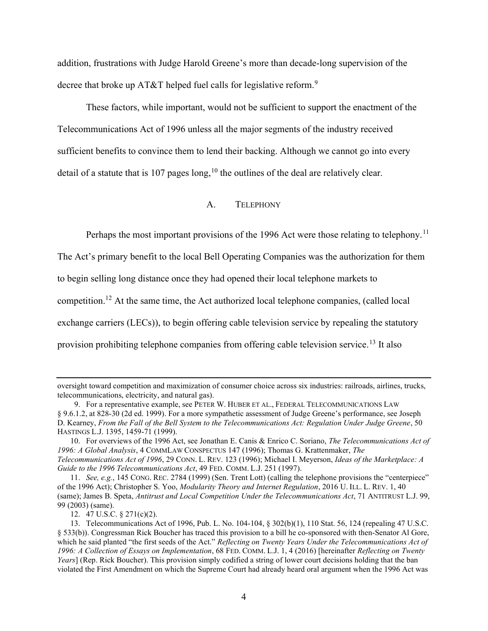addition, frustrations with Judge Harold Greene's more than decade-long supervision of the decree that broke up AT&T helped fuel calls for legislative reform.<sup>9</sup>

These factors, while important, would not be sufficient to support the enactment of the Telecommunications Act of 1996 unless all the major segments of the industry received sufficient benefits to convince them to lend their backing. Although we cannot go into every detail of a statute that is 107 pages long,<sup>10</sup> the outlines of the deal are relatively clear.

#### A. TELEPHONY

Perhaps the most important provisions of the 1996 Act were those relating to telephony.<sup>11</sup>

The Act's primary benefit to the local Bell Operating Companies was the authorization for them

to begin selling long distance once they had opened their local telephone markets to

competition.<sup>12</sup> At the same time, the Act authorized local telephone companies, (called local

exchange carriers (LECs)), to begin offering cable television service by repealing the statutory

provision prohibiting telephone companies from offering cable television service.<sup>13</sup> It also

12. 47 U.S.C. § 271(c)(2).

oversight toward competition and maximization of consumer choice across six industries: railroads, airlines, trucks, telecommunications, electricity, and natural gas).

 <sup>9.</sup> For a representative example, see PETER W. HUBER ET AL., FEDERAL TELECOMMUNICATIONS LAW § 9.6.1.2, at 828-30 (2d ed. 1999). For a more sympathetic assessment of Judge Greene's performance, see Joseph D. Kearney, From the Fall of the Bell System to the Telecommunications Act: Regulation Under Judge Greene, 50 HASTINGS L.J. 1395, 1459-71 (1999).

<sup>10.</sup> For overviews of the 1996 Act, see Jonathan E. Canis & Enrico C. Soriano, The Telecommunications Act of 1996: A Global Analysis, 4 COMMLAW CONSPECTUS 147 (1996); Thomas G. Krattenmaker, The Telecommunications Act of 1996, 29 CONN. L. REV. 123 (1996); Michael I. Meyerson, Ideas of the Marketplace: A Guide to the 1996 Telecommunications Act, 49 FED. COMM. L.J. 251 (1997).

<sup>11.</sup> See, e.g., 145 CONG. REC. 2784 (1999) (Sen. Trent Lott) (calling the telephone provisions the "centerpiece" of the 1996 Act); Christopher S. Yoo, Modularity Theory and Internet Regulation, 2016 U. ILL. L. REV. 1, 40 (same); James B. Speta, Antitrust and Local Competition Under the Telecommunications Act, 71 ANTITRUST L.J. 99, 99 (2003) (same).

 <sup>13.</sup> Telecommunications Act of 1996, Pub. L. No. 104-104, § 302(b)(1), 110 Stat. 56, 124 (repealing 47 U.S.C. § 533(b)). Congressman Rick Boucher has traced this provision to a bill he co-sponsored with then-Senator Al Gore, which he said planted "the first seeds of the Act." Reflecting on Twenty Years Under the Telecommunications Act of 1996: A Collection of Essays on Implementation, 68 FED. COMM. L.J. 1, 4 (2016) [hereinafter Reflecting on Twenty Years] (Rep. Rick Boucher). This provision simply codified a string of lower court decisions holding that the ban violated the First Amendment on which the Supreme Court had already heard oral argument when the 1996 Act was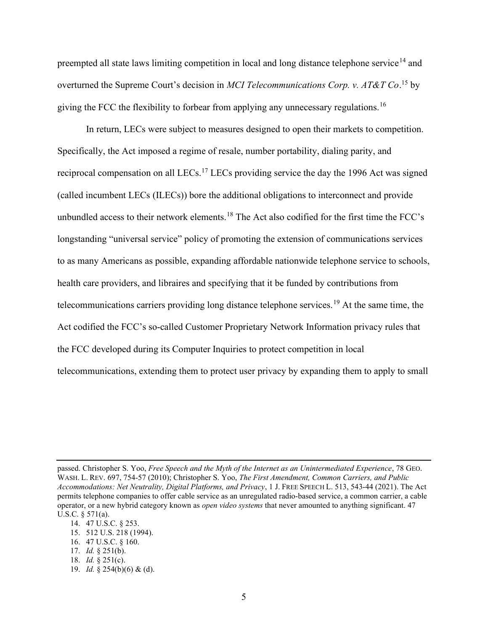preempted all state laws limiting competition in local and long distance telephone service<sup>14</sup> and overturned the Supreme Court's decision in *MCI Telecommunications Corp.* v.  $AT&T Co.$ <sup>15</sup> by giving the FCC the flexibility to forbear from applying any unnecessary regulations.<sup>16</sup>

In return, LECs were subject to measures designed to open their markets to competition. Specifically, the Act imposed a regime of resale, number portability, dialing parity, and reciprocal compensation on all LECs.<sup>17</sup> LECs providing service the day the 1996 Act was signed (called incumbent LECs (ILECs)) bore the additional obligations to interconnect and provide unbundled access to their network elements.<sup>18</sup> The Act also codified for the first time the FCC's longstanding "universal service" policy of promoting the extension of communications services to as many Americans as possible, expanding affordable nationwide telephone service to schools, health care providers, and libraires and specifying that it be funded by contributions from telecommunications carriers providing long distance telephone services.<sup>19</sup> At the same time, the Act codified the FCC's so-called Customer Proprietary Network Information privacy rules that the FCC developed during its Computer Inquiries to protect competition in local telecommunications, extending them to protect user privacy by expanding them to apply to small

passed. Christopher S. Yoo, Free Speech and the Myth of the Internet as an Unintermediated Experience, 78 GEO. WASH. L. REV. 697, 754-57 (2010); Christopher S. Yoo, The First Amendment, Common Carriers, and Public Accommodations: Net Neutrality, Digital Platforms, and Privacy, 1 J. FREE SPEECH L. 513, 543-44 (2021). The Act permits telephone companies to offer cable service as an unregulated radio-based service, a common carrier, a cable operator, or a new hybrid category known as *open video systems* that never amounted to anything significant. 47 U.S.C. § 571(a).

 <sup>14. 47</sup> U.S.C. § 253.

 <sup>15. 512</sup> U.S. 218 (1994).

 <sup>16. 47</sup> U.S.C. § 160.

<sup>17.</sup> Id. § 251(b).

<sup>18.</sup> Id. § 251(c).

<sup>19.</sup> *Id.* § 254(b)(6) & (d).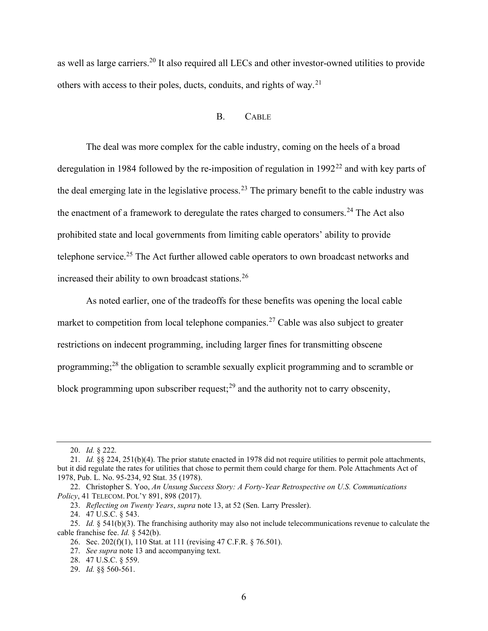as well as large carriers.<sup>20</sup> It also required all LECs and other investor-owned utilities to provide others with access to their poles, ducts, conduits, and rights of way.<sup>21</sup>

## B. CABLE

The deal was more complex for the cable industry, coming on the heels of a broad deregulation in 1984 followed by the re-imposition of regulation in  $1992^{22}$  and with key parts of the deal emerging late in the legislative process.<sup>23</sup> The primary benefit to the cable industry was the enactment of a framework to deregulate the rates charged to consumers.<sup>24</sup> The Act also prohibited state and local governments from limiting cable operators' ability to provide telephone service.<sup>25</sup> The Act further allowed cable operators to own broadcast networks and increased their ability to own broadcast stations.<sup>26</sup>

As noted earlier, one of the tradeoffs for these benefits was opening the local cable market to competition from local telephone companies.<sup>27</sup> Cable was also subject to greater restrictions on indecent programming, including larger fines for transmitting obscene programming;<sup>28</sup> the obligation to scramble sexually explicit programming and to scramble or block programming upon subscriber request;<sup>29</sup> and the authority not to carry obscenity,

<sup>20.</sup> Id. § 222.

<sup>21.</sup> Id. §§ 224, 251(b)(4). The prior statute enacted in 1978 did not require utilities to permit pole attachments, but it did regulate the rates for utilities that chose to permit them could charge for them. Pole Attachments Act of 1978, Pub. L. No. 95-234, 92 Stat. 35 (1978).

<sup>22.</sup> Christopher S. Yoo, An Unsung Success Story: A Forty-Year Retrospective on U.S. Communications Policy, 41 TELECOM. POL'Y 891, 898 (2017).

<sup>23.</sup> Reflecting on Twenty Years, supra note 13, at 52 (Sen. Larry Pressler).

 <sup>24. 47</sup> U.S.C. § 543.

<sup>25.</sup> Id. § 541(b)(3). The franchising authority may also not include telecommunications revenue to calculate the cable franchise fee. Id. § 542(b).

 <sup>26.</sup> Sec. 202(f)(1), 110 Stat. at 111 (revising 47 C.F.R. § 76.501).

<sup>27.</sup> See supra note 13 and accompanying text.

 <sup>28. 47</sup> U.S.C. § 559.

<sup>29.</sup> Id. §§ 560-561.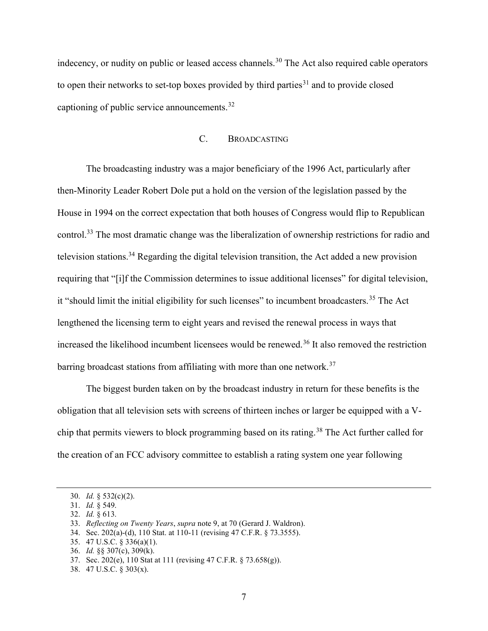indecency, or nudity on public or leased access channels.<sup>30</sup> The Act also required cable operators to open their networks to set-top boxes provided by third parties<sup>31</sup> and to provide closed captioning of public service announcements.<sup>32</sup>

## C. BROADCASTING

The broadcasting industry was a major beneficiary of the 1996 Act, particularly after then-Minority Leader Robert Dole put a hold on the version of the legislation passed by the House in 1994 on the correct expectation that both houses of Congress would flip to Republican control.<sup>33</sup> The most dramatic change was the liberalization of ownership restrictions for radio and television stations.<sup>34</sup> Regarding the digital television transition, the Act added a new provision requiring that "[i]f the Commission determines to issue additional licenses" for digital television, it "should limit the initial eligibility for such licenses" to incumbent broadcasters.<sup>35</sup> The Act lengthened the licensing term to eight years and revised the renewal process in ways that increased the likelihood incumbent licensees would be renewed.<sup>36</sup> It also removed the restriction barring broadcast stations from affiliating with more than one network.<sup>37</sup>

The biggest burden taken on by the broadcast industry in return for these benefits is the obligation that all television sets with screens of thirteen inches or larger be equipped with a Vchip that permits viewers to block programming based on its rating.<sup>38</sup> The Act further called for the creation of an FCC advisory committee to establish a rating system one year following

<sup>30.</sup> Id. § 532(c)(2).

<sup>31.</sup> Id. § 549.

<sup>32.</sup> Id. § 613.

<sup>33.</sup> Reflecting on Twenty Years, supra note 9, at 70 (Gerard J. Waldron).

 <sup>34.</sup> Sec. 202(a)-(d), 110 Stat. at 110-11 (revising 47 C.F.R. § 73.3555).

 <sup>35. 47</sup> U.S.C. § 336(a)(1).

<sup>36.</sup> Id. §§ 307(c), 309(k).

 <sup>37.</sup> Sec. 202(e), 110 Stat at 111 (revising 47 C.F.R. § 73.658(g)).

 <sup>38. 47</sup> U.S.C. § 303(x).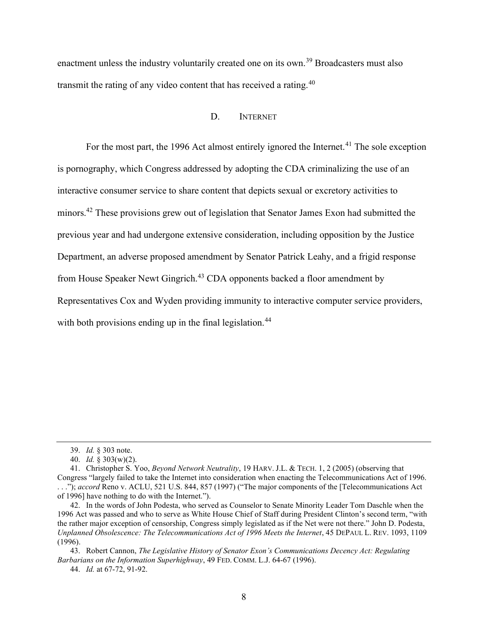enactment unless the industry voluntarily created one on its own.<sup>39</sup> Broadcasters must also transmit the rating of any video content that has received a rating.<sup>40</sup>

#### D. INTERNET

For the most part, the 1996 Act almost entirely ignored the Internet.<sup>41</sup> The sole exception is pornography, which Congress addressed by adopting the CDA criminalizing the use of an interactive consumer service to share content that depicts sexual or excretory activities to minors.<sup>42</sup> These provisions grew out of legislation that Senator James Exon had submitted the previous year and had undergone extensive consideration, including opposition by the Justice Department, an adverse proposed amendment by Senator Patrick Leahy, and a frigid response from House Speaker Newt Gingrich.<sup>43</sup> CDA opponents backed a floor amendment by Representatives Cox and Wyden providing immunity to interactive computer service providers, with both provisions ending up in the final legislation. $44$ 

 43. Robert Cannon, The Legislative History of Senator Exon's Communications Decency Act: Regulating Barbarians on the Information Superhighway, 49 FED. COMM. L.J. 64-67 (1996).

44. Id. at 67-72, 91-92.

<sup>39.</sup> Id. § 303 note.

<sup>40.</sup> Id. § 303(w)(2).

<sup>41.</sup> Christopher S. Yoo, *Beyond Network Neutrality*, 19 HARV. J.L. & TECH. 1, 2 (2005) (observing that Congress "largely failed to take the Internet into consideration when enacting the Telecommunications Act of 1996. . . ."); accord Reno v. ACLU, 521 U.S. 844, 857 (1997) ("The major components of the [Telecommunications Act of 1996] have nothing to do with the Internet.").

 <sup>42.</sup> In the words of John Podesta, who served as Counselor to Senate Minority Leader Tom Daschle when the 1996 Act was passed and who to serve as White House Chief of Staff during President Clinton's second term, "with the rather major exception of censorship, Congress simply legislated as if the Net were not there." John D. Podesta, Unplanned Obsolescence: The Telecommunications Act of 1996 Meets the Internet, 45 DEPAUL L. REV. 1093, 1109 (1996).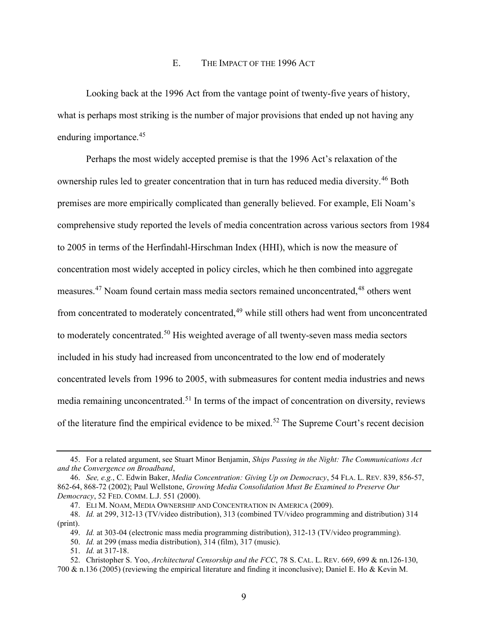## E. THE IMPACT OF THE 1996 ACT

Looking back at the 1996 Act from the vantage point of twenty-five years of history, what is perhaps most striking is the number of major provisions that ended up not having any enduring importance.<sup>45</sup>

Perhaps the most widely accepted premise is that the 1996 Act's relaxation of the ownership rules led to greater concentration that in turn has reduced media diversity.<sup>46</sup> Both premises are more empirically complicated than generally believed. For example, Eli Noam's comprehensive study reported the levels of media concentration across various sectors from 1984 to 2005 in terms of the Herfindahl-Hirschman Index (HHI), which is now the measure of concentration most widely accepted in policy circles, which he then combined into aggregate measures.<sup>47</sup> Noam found certain mass media sectors remained unconcentrated,<sup>48</sup> others went from concentrated to moderately concentrated,<sup>49</sup> while still others had went from unconcentrated to moderately concentrated.<sup>50</sup> His weighted average of all twenty-seven mass media sectors included in his study had increased from unconcentrated to the low end of moderately concentrated levels from 1996 to 2005, with submeasures for content media industries and news media remaining unconcentrated.<sup>51</sup> In terms of the impact of concentration on diversity, reviews of the literature find the empirical evidence to be mixed.<sup>52</sup> The Supreme Court's recent decision

<sup>45.</sup> For a related argument, see Stuart Minor Benjamin, Ships Passing in the Night: The Communications Act and the Convergence on Broadband,

<sup>46.</sup> See, e.g., C. Edwin Baker, Media Concentration: Giving Up on Democracy, 54 FLA. L. REV. 839, 856-57, 862-64, 868-72 (2002); Paul Wellstone, Growing Media Consolidation Must Be Examined to Preserve Our Democracy, 52 FED. COMM. L.J. 551 (2000).

 <sup>47.</sup> ELI M. NOAM, MEDIA OWNERSHIP AND CONCENTRATION IN AMERICA (2009).

<sup>48.</sup> Id. at 299, 312-13 (TV/video distribution), 313 (combined TV/video programming and distribution) 314 (print).

<sup>49.</sup> Id. at 303-04 (electronic mass media programming distribution), 312-13 (TV/video programming).

<sup>50.</sup> Id. at 299 (mass media distribution), 314 (film), 317 (music).

<sup>51.</sup> Id. at 317-18.

 <sup>52.</sup> Christopher S. Yoo, Architectural Censorship and the FCC, 78 S. CAL. L. REV. 669, 699 & nn.126-130, 700 & n.136 (2005) (reviewing the empirical literature and finding it inconclusive); Daniel E. Ho & Kevin M.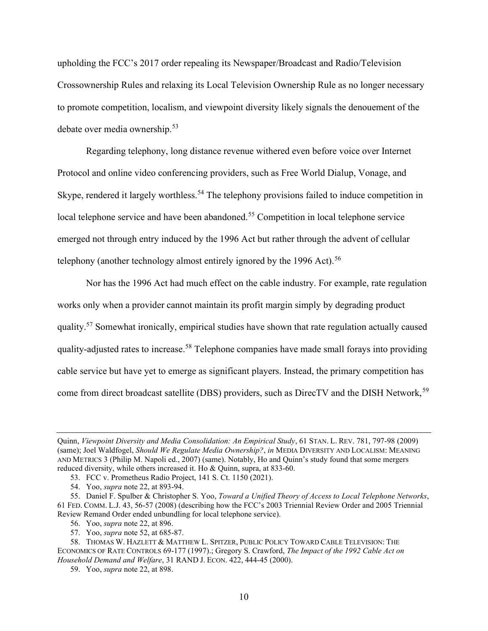upholding the FCC's 2017 order repealing its Newspaper/Broadcast and Radio/Television Crossownership Rules and relaxing its Local Television Ownership Rule as no longer necessary to promote competition, localism, and viewpoint diversity likely signals the denouement of the debate over media ownership.<sup>53</sup>

Regarding telephony, long distance revenue withered even before voice over Internet Protocol and online video conferencing providers, such as Free World Dialup, Vonage, and Skype, rendered it largely worthless.<sup>54</sup> The telephony provisions failed to induce competition in local telephone service and have been abandoned.<sup>55</sup> Competition in local telephone service emerged not through entry induced by the 1996 Act but rather through the advent of cellular telephony (another technology almost entirely ignored by the 1996 Act).<sup>56</sup>

Nor has the 1996 Act had much effect on the cable industry. For example, rate regulation works only when a provider cannot maintain its profit margin simply by degrading product quality.<sup>57</sup> Somewhat ironically, empirical studies have shown that rate regulation actually caused quality-adjusted rates to increase.<sup>58</sup> Telephone companies have made small forays into providing cable service but have yet to emerge as significant players. Instead, the primary competition has come from direct broadcast satellite (DBS) providers, such as DirecTV and the DISH Network,<sup>59</sup>

Quinn, Viewpoint Diversity and Media Consolidation: An Empirical Study, 61 STAN. L. REV. 781, 797-98 (2009) (same); Joel Waldfogel, Should We Regulate Media Ownership?, in MEDIA DIVERSITY AND LOCALISM: MEANING AND METRICS 3 (Philip M. Napoli ed., 2007) (same). Notably, Ho and Quinn's study found that some mergers reduced diversity, while others increased it. Ho & Quinn, supra, at 833-60.

 <sup>53.</sup> FCC v. Prometheus Radio Project, 141 S. Ct. 1150 (2021).

 <sup>54.</sup> Yoo, supra note 22, at 893-94.

<sup>55.</sup> Daniel F. Spulber & Christopher S. Yoo, Toward a Unified Theory of Access to Local Telephone Networks, 61 FED. COMM. L.J. 43, 56-57 (2008) (describing how the FCC's 2003 Triennial Review Order and 2005 Triennial Review Remand Order ended unbundling for local telephone service).

<sup>56.</sup> Yoo, supra note 22, at 896.

 <sup>57.</sup> Yoo, supra note 52, at 685-87.

 <sup>58.</sup> THOMAS W. HAZLETT & MATTHEW L. SPITZER, PUBLIC POLICY TOWARD CABLE TELEVISION: THE ECONOMICS OF RATE CONTROLS 69-177 (1997).; Gregory S. Crawford, The Impact of the 1992 Cable Act on Household Demand and Welfare, 31 RAND J. ECON. 422, 444-45 (2000).

 <sup>59.</sup> Yoo, supra note 22, at 898.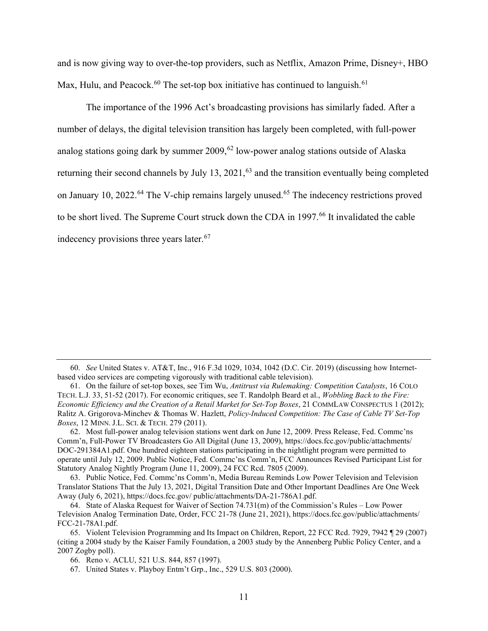and is now giving way to over-the-top providers, such as Netflix, Amazon Prime, Disney+, HBO Max, Hulu, and Peacock.<sup>60</sup> The set-top box initiative has continued to languish.<sup>61</sup>

The importance of the 1996 Act's broadcasting provisions has similarly faded. After a number of delays, the digital television transition has largely been completed, with full-power analog stations going dark by summer  $2009$ ,  $62$  low-power analog stations outside of Alaska returning their second channels by July 13, 2021,<sup>63</sup> and the transition eventually being completed on January 10, 2022.<sup>64</sup> The V-chip remains largely unused.<sup>65</sup> The indecency restrictions proved to be short lived. The Supreme Court struck down the CDA in 1997.<sup>66</sup> It invalidated the cable indecency provisions three years later.<sup>67</sup>

60. See United States v. AT&T, Inc., 916 F.3d 1029, 1034, 1042 (D.C. Cir. 2019) (discussing how Internetbased video services are competing vigorously with traditional cable television).

 <sup>61.</sup> On the failure of set-top boxes, see Tim Wu, Antitrust via Rulemaking: Competition Catalysts, 16 COLO TECH. L.J. 33, 51-52 (2017). For economic critiques, see T. Randolph Beard et al., Wobbling Back to the Fire: Economic Efficiency and the Creation of a Retail Market for Set-Top Boxes, 21 COMMLAW CONSPECTUS 1 (2012); Ralitz A. Grigorova-Minchev & Thomas W. Hazlett, Policy-Induced Competition: The Case of Cable TV Set-Top Boxes, 12 MINN. J.L. SCI. & TECH. 279 (2011).

 <sup>62.</sup> Most full-power analog television stations went dark on June 12, 2009. Press Release, Fed. Commc'ns Comm'n, Full-Power TV Broadcasters Go All Digital (June 13, 2009), https://docs.fcc.gov/public/attachments/ DOC-291384A1.pdf. One hundred eighteen stations participating in the nightlight program were permitted to operate until July 12, 2009. Public Notice, Fed. Commc'ns Comm'n, FCC Announces Revised Participant List for Statutory Analog Nightly Program (June 11, 2009), 24 FCC Rcd. 7805 (2009).

 <sup>63.</sup> Public Notice, Fed. Commc'ns Comm'n, Media Bureau Reminds Low Power Television and Television Translator Stations That the July 13, 2021, Digital Transition Date and Other Important Deadlines Are One Week Away (July 6, 2021), https://docs.fcc.gov/ public/attachments/DA-21-786A1.pdf.

 <sup>64.</sup> State of Alaska Request for Waiver of Section 74.731(m) of the Commission's Rules – Low Power Television Analog Termination Date, Order, FCC 21-78 (June 21, 2021), https://docs.fcc.gov/public/attachments/ FCC-21-78A1.pdf.

 <sup>65.</sup> Violent Television Programming and Its Impact on Children, Report, 22 FCC Rcd. 7929, 7942 ¶ 29 (2007) (citing a 2004 study by the Kaiser Family Foundation, a 2003 study by the Annenberg Public Policy Center, and a 2007 Zogby poll).

 <sup>66.</sup> Reno v. ACLU, 521 U.S. 844, 857 (1997).

 <sup>67.</sup> United States v. Playboy Entm't Grp., Inc., 529 U.S. 803 (2000).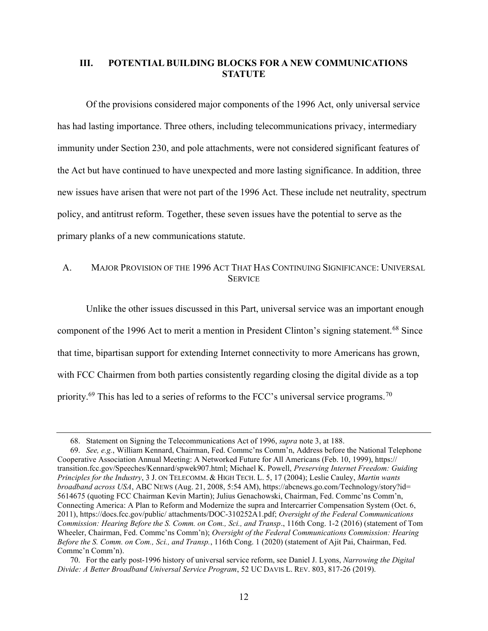## III. POTENTIAL BUILDING BLOCKS FOR A NEW COMMUNICATIONS **STATUTE**

Of the provisions considered major components of the 1996 Act, only universal service has had lasting importance. Three others, including telecommunications privacy, intermediary immunity under Section 230, and pole attachments, were not considered significant features of the Act but have continued to have unexpected and more lasting significance. In addition, three new issues have arisen that were not part of the 1996 Act. These include net neutrality, spectrum policy, and antitrust reform. Together, these seven issues have the potential to serve as the primary planks of a new communications statute.

## A. MAJOR PROVISION OF THE 1996 ACT THAT HAS CONTINUING SIGNIFICANCE: UNIVERSAL **SERVICE**

Unlike the other issues discussed in this Part, universal service was an important enough component of the 1996 Act to merit a mention in President Clinton's signing statement.<sup>68</sup> Since that time, bipartisan support for extending Internet connectivity to more Americans has grown, with FCC Chairmen from both parties consistently regarding closing the digital divide as a top priority.<sup>69</sup> This has led to a series of reforms to the FCC's universal service programs.<sup>70</sup>

 <sup>68.</sup> Statement on Signing the Telecommunications Act of 1996, supra note 3, at 188.

<sup>69.</sup> See, e.g., William Kennard, Chairman, Fed. Commc'ns Comm'n, Address before the National Telephone Cooperative Association Annual Meeting: A Networked Future for All Americans (Feb. 10, 1999), https:// transition.fcc.gov/Speeches/Kennard/spwek907.html; Michael K. Powell, Preserving Internet Freedom: Guiding Principles for the Industry, 3 J. ON TELECOMM. & HIGH TECH. L. 5, 17 (2004); Leslie Cauley, Martin wants broadband across USA, ABC NEWS (Aug. 21, 2008, 5:54 AM), https://abcnews.go.com/Technology/story?id= 5614675 (quoting FCC Chairman Kevin Martin); Julius Genachowski, Chairman, Fed. Commc'ns Comm'n, Connecting America: A Plan to Reform and Modernize the supra and Intercarrier Compensation System (Oct. 6, 2011), https://docs.fcc.gov/public/ attachments/DOC-310252A1.pdf; Oversight of the Federal Communications Commission: Hearing Before the S. Comm. on Com., Sci., and Transp., 116th Cong. 1-2 (2016) (statement of Tom Wheeler, Chairman, Fed. Commc'ns Comm'n); Oversight of the Federal Communications Commission: Hearing Before the S. Comm. on Com., Sci., and Transp., 116th Cong. 1 (2020) (statement of Ajit Pai, Chairman, Fed. Commc'n Comm'n).

 <sup>70.</sup> For the early post-1996 history of universal service reform, see Daniel J. Lyons, Narrowing the Digital Divide: A Better Broadband Universal Service Program, 52 UC DAVIS L. REV. 803, 817-26 (2019).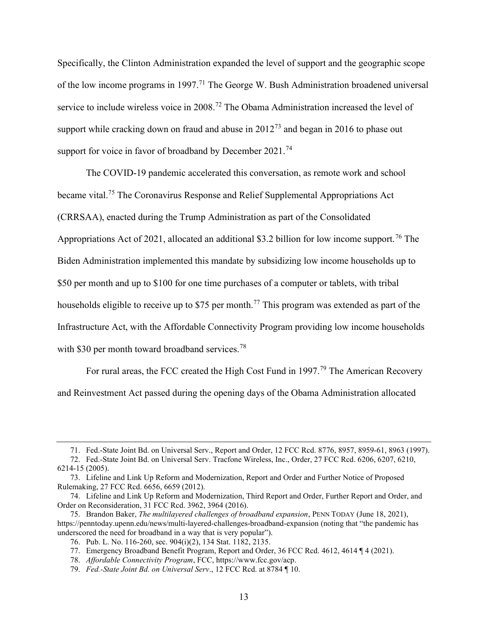Specifically, the Clinton Administration expanded the level of support and the geographic scope of the low income programs in 1997.<sup>71</sup> The George W. Bush Administration broadened universal service to include wireless voice in 2008.<sup>72</sup> The Obama Administration increased the level of support while cracking down on fraud and abuse in  $2012^{73}$  and began in 2016 to phase out support for voice in favor of broadband by December  $2021.^{74}$ 

The COVID-19 pandemic accelerated this conversation, as remote work and school became vital.<sup>75</sup> The Coronavirus Response and Relief Supplemental Appropriations Act (CRRSAA), enacted during the Trump Administration as part of the Consolidated Appropriations Act of 2021, allocated an additional \$3.2 billion for low income support.<sup>76</sup> The Biden Administration implemented this mandate by subsidizing low income households up to \$50 per month and up to \$100 for one time purchases of a computer or tablets, with tribal households eligible to receive up to \$75 per month.<sup>77</sup> This program was extended as part of the Infrastructure Act, with the Affordable Connectivity Program providing low income households with \$30 per month toward broadband services.<sup>78</sup>

For rural areas, the FCC created the High Cost Fund in 1997.<sup>79</sup> The American Recovery and Reinvestment Act passed during the opening days of the Obama Administration allocated

 <sup>71.</sup> Fed.-State Joint Bd. on Universal Serv., Report and Order, 12 FCC Rcd. 8776, 8957, 8959-61, 8963 (1997).

 <sup>72.</sup> Fed.-State Joint Bd. on Universal Serv. Tracfone Wireless, Inc., Order, 27 FCC Rcd. 6206, 6207, 6210, 6214-15 (2005).

 <sup>73.</sup> Lifeline and Link Up Reform and Modernization, Report and Order and Further Notice of Proposed Rulemaking, 27 FCC Rcd. 6656, 6659 (2012).

 <sup>74.</sup> Lifeline and Link Up Reform and Modernization, Third Report and Order, Further Report and Order, and Order on Reconsideration, 31 FCC Rcd. 3962, 3964 (2016).

 <sup>75.</sup> Brandon Baker, The multilayered challenges of broadband expansion, PENN TODAY (June 18, 2021), https://penntoday.upenn.edu/news/multi-layered-challenges-broadband-expansion (noting that "the pandemic has underscored the need for broadband in a way that is very popular").

 <sup>76.</sup> Pub. L. No. 116-260, sec. 904(i)(2), 134 Stat. 1182, 2135.

 <sup>77.</sup> Emergency Broadband Benefit Program, Report and Order, 36 FCC Rcd. 4612, 4614 ¶ 4 (2021).

<sup>78.</sup> Affordable Connectivity Program, FCC, https://www.fcc.gov/acp.

<sup>79.</sup> Fed.-State Joint Bd. on Universal Serv., 12 FCC Rcd. at 8784 ¶ 10.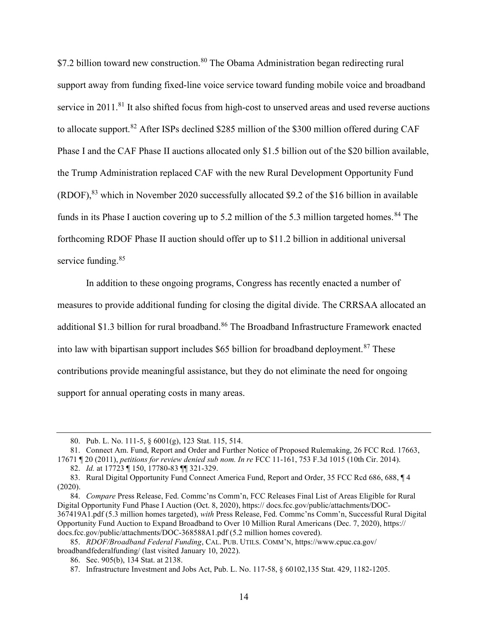\$7.2 billion toward new construction.<sup>80</sup> The Obama Administration began redirecting rural support away from funding fixed-line voice service toward funding mobile voice and broadband service in 2011.<sup>81</sup> It also shifted focus from high-cost to unserved areas and used reverse auctions to allocate support.<sup>82</sup> After ISPs declined \$285 million of the \$300 million offered during CAF Phase I and the CAF Phase II auctions allocated only \$1.5 billion out of the \$20 billion available, the Trump Administration replaced CAF with the new Rural Development Opportunity Fund (RDOF),<sup>83</sup> which in November 2020 successfully allocated \$9.2 of the \$16 billion in available funds in its Phase I auction covering up to 5.2 million of the 5.3 million targeted homes.<sup>84</sup> The forthcoming RDOF Phase II auction should offer up to \$11.2 billion in additional universal service funding.<sup>85</sup>

In addition to these ongoing programs, Congress has recently enacted a number of measures to provide additional funding for closing the digital divide. The CRRSAA allocated an additional \$1.3 billion for rural broadband.<sup>86</sup> The Broadband Infrastructure Framework enacted into law with bipartisan support includes  $$65$  billion for broadband deployment.<sup>87</sup> These contributions provide meaningful assistance, but they do not eliminate the need for ongoing support for annual operating costs in many areas.

 <sup>80.</sup> Pub. L. No. 111-5, § 6001(g), 123 Stat. 115, 514.

 <sup>81.</sup> Connect Am. Fund, Report and Order and Further Notice of Proposed Rulemaking, 26 FCC Rcd. 17663, 17671 ¶ 20 (2011), petitions for review denied sub nom. In re FCC 11-161, 753 F.3d 1015 (10th Cir. 2014).

<sup>82.</sup> Id. at 17723 | 150, 17780-83 | 321-329.

<sup>83.</sup> Rural Digital Opportunity Fund Connect America Fund, Report and Order, 35 FCC Rcd 686, 688, ¶ 4 (2020).

<sup>84.</sup> Compare Press Release, Fed. Commc'ns Comm'n, FCC Releases Final List of Areas Eligible for Rural Digital Opportunity Fund Phase I Auction (Oct. 8, 2020), https:// docs.fcc.gov/public/attachments/DOC-367419A1.pdf (5.3 million homes targeted), with Press Release, Fed. Commc'ns Comm'n, Successful Rural Digital Opportunity Fund Auction to Expand Broadband to Over 10 Million Rural Americans (Dec. 7, 2020), https:// docs.fcc.gov/public/attachments/DOC-368588A1.pdf (5.2 million homes covered).

<sup>85.</sup> RDOF/Broadband Federal Funding, CAL. PUB. UTILS. COMM'N, https://www.cpuc.ca.gov/ broadbandfederalfunding/ (last visited January 10, 2022).

 <sup>86.</sup> Sec. 905(b), 134 Stat. at 2138.

 <sup>87.</sup> Infrastructure Investment and Jobs Act, Pub. L. No. 117-58, § 60102,135 Stat. 429, 1182-1205.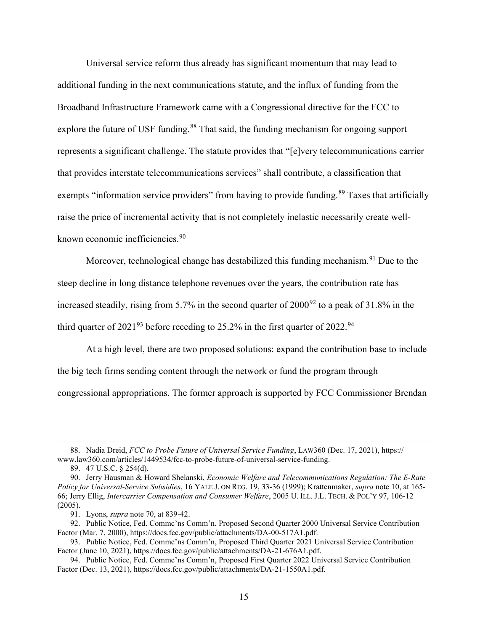Universal service reform thus already has significant momentum that may lead to additional funding in the next communications statute, and the influx of funding from the Broadband Infrastructure Framework came with a Congressional directive for the FCC to explore the future of USF funding.<sup>88</sup> That said, the funding mechanism for ongoing support represents a significant challenge. The statute provides that "[e]very telecommunications carrier that provides interstate telecommunications services" shall contribute, a classification that exempts "information service providers" from having to provide funding.<sup>89</sup> Taxes that artificially raise the price of incremental activity that is not completely inelastic necessarily create wellknown economic inefficiencies.<sup>90</sup>

Moreover, technological change has destabilized this funding mechanism.<sup>91</sup> Due to the steep decline in long distance telephone revenues over the years, the contribution rate has increased steadily, rising from 5.7% in the second quarter of  $2000^{92}$  to a peak of 31.8% in the third quarter of 2021<sup>93</sup> before receding to 25.2% in the first quarter of 2022.<sup>94</sup>

At a high level, there are two proposed solutions: expand the contribution base to include the big tech firms sending content through the network or fund the program through congressional appropriations. The former approach is supported by FCC Commissioner Brendan

<sup>88.</sup> Nadia Dreid, FCC to Probe Future of Universal Service Funding, LAW360 (Dec. 17, 2021), https:// www.law360.com/articles/1449534/fcc-to-probe-future-of-universal-service-funding.

 <sup>89. 47</sup> U.S.C. § 254(d).

<sup>90.</sup> Jerry Hausman & Howard Shelanski, Economic Welfare and Telecommunications Regulation: The E-Rate Policy for Universal-Service Subsidies, 16 YALE J. ON REG. 19, 33-36 (1999); Krattenmaker, supra note 10, at 165-66; Jerry Ellig, Intercarrier Compensation and Consumer Welfare, 2005 U. ILL. J.L. TECH. & POL'Y 97, 106-12 (2005).

 <sup>91.</sup> Lyons, supra note 70, at 839-42.

 <sup>92.</sup> Public Notice, Fed. Commc'ns Comm'n, Proposed Second Quarter 2000 Universal Service Contribution Factor (Mar. 7, 2000), https://docs.fcc.gov/public/attachments/DA-00-517A1.pdf.

 <sup>93.</sup> Public Notice, Fed. Commc'ns Comm'n, Proposed Third Quarter 2021 Universal Service Contribution Factor (June 10, 2021), https://docs.fcc.gov/public/attachments/DA-21-676A1.pdf.

 <sup>94.</sup> Public Notice, Fed. Commc'ns Comm'n, Proposed First Quarter 2022 Universal Service Contribution Factor (Dec. 13, 2021), https://docs.fcc.gov/public/attachments/DA-21-1550A1.pdf.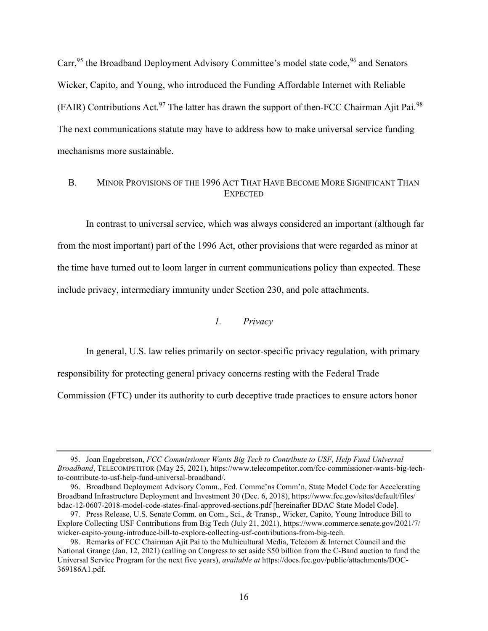$Carr<sub>1</sub><sup>95</sup>$  the Broadband Deployment Advisory Committee's model state code,  $96$  and Senators Wicker, Capito, and Young, who introduced the Funding Affordable Internet with Reliable (FAIR) Contributions Act.<sup>97</sup> The latter has drawn the support of then-FCC Chairman Ajit Pai.<sup>98</sup> The next communications statute may have to address how to make universal service funding mechanisms more sustainable.

## B. MINOR PROVISIONS OF THE 1996 ACT THAT HAVE BECOME MORE SIGNIFICANT THAN **EXPECTED**

In contrast to universal service, which was always considered an important (although far from the most important) part of the 1996 Act, other provisions that were regarded as minor at the time have turned out to loom larger in current communications policy than expected. These include privacy, intermediary immunity under Section 230, and pole attachments.

## 1. Privacy

In general, U.S. law relies primarily on sector-specific privacy regulation, with primary

responsibility for protecting general privacy concerns resting with the Federal Trade

Commission (FTC) under its authority to curb deceptive trade practices to ensure actors honor

<sup>95.</sup> Joan Engebretson, FCC Commissioner Wants Big Tech to Contribute to USF, Help Fund Universal Broadband, TELECOMPETITOR (May 25, 2021), https://www.telecompetitor.com/fcc-commissioner-wants-big-techto-contribute-to-usf-help-fund-universal-broadband/.

 <sup>96.</sup> Broadband Deployment Advisory Comm., Fed. Commc'ns Comm'n, State Model Code for Accelerating Broadband Infrastructure Deployment and Investment 30 (Dec. 6, 2018), https://www.fcc.gov/sites/default/files/ bdac-12-0607-2018-model-code-states-final-approved-sections.pdf [hereinafter BDAC State Model Code].

 <sup>97.</sup> Press Release, U.S. Senate Comm. on Com., Sci., & Transp., Wicker, Capito, Young Introduce Bill to Explore Collecting USF Contributions from Big Tech (July 21, 2021), https://www.commerce.senate.gov/2021/7/ wicker-capito-young-introduce-bill-to-explore-collecting-usf-contributions-from-big-tech.

 <sup>98.</sup> Remarks of FCC Chairman Ajit Pai to the Multicultural Media, Telecom & Internet Council and the National Grange (Jan. 12, 2021) (calling on Congress to set aside \$50 billion from the C-Band auction to fund the Universal Service Program for the next five years), *available at* https://docs.fcc.gov/public/attachments/DOC-369186A1.pdf.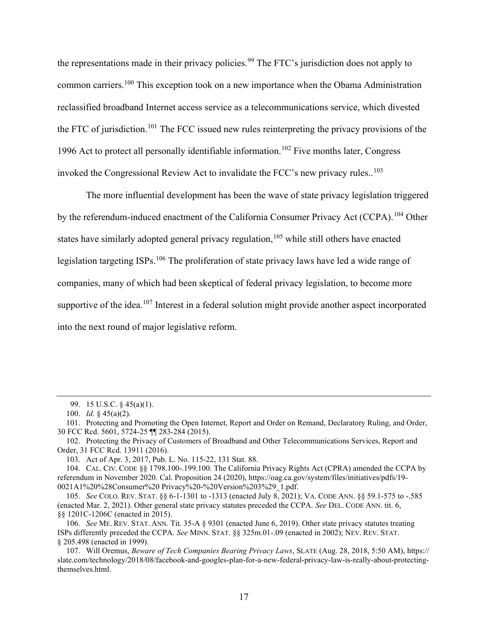the representations made in their privacy policies.<sup>99</sup> The FTC's jurisdiction does not apply to common carriers.<sup>100</sup> This exception took on a new importance when the Obama Administration reclassified broadband Internet access service as a telecommunications service, which divested the FTC of jurisdiction.<sup>101</sup> The FCC issued new rules reinterpreting the privacy provisions of the 1996 Act to protect all personally identifiable information.<sup>102</sup> Five months later, Congress invoked the Congressional Review Act to invalidate the FCC's new privacy rules..<sup>103</sup>

The more influential development has been the wave of state privacy legislation triggered by the referendum-induced enactment of the California Consumer Privacy Act (CCPA).<sup>104</sup> Other states have similarly adopted general privacy regulation,<sup>105</sup> while still others have enacted legislation targeting ISPs.<sup>106</sup> The proliferation of state privacy laws have led a wide range of companies, many of which had been skeptical of federal privacy legislation, to become more supportive of the idea.<sup>107</sup> Interest in a federal solution might provide another aspect incorporated into the next round of major legislative reform.

 <sup>99. 15</sup> U.S.C. § 45(a)(1).

<sup>100.</sup> *Id.*  $\frac{1}{2}$  45(a)(2).

 <sup>101.</sup> Protecting and Promoting the Open Internet, Report and Order on Remand, Declaratory Ruling, and Order, 30 FCC Rcd. 5601, 5724-25 ¶¶ 283-284 (2015).

 <sup>102.</sup> Protecting the Privacy of Customers of Broadband and Other Telecommunications Services, Report and Order, 31 FCC Rcd. 13911 (2016).

 <sup>103.</sup> Act of Apr. 3, 2017, Pub. L. No. 115-22, 131 Stat. 88.

 <sup>104.</sup> CAL. CIV. CODE §§ 1798.100-.199.100. The California Privacy Rights Act (CPRA) amended the CCPA by referendum in November 2020. Cal. Proposition 24 (2020), https://oag.ca.gov/system/files/initiatives/pdfs/19- 0021A1%20%28Consumer%20 Privacy%20-%20Version%203%29\_1.pdf.

<sup>105.</sup> See COLO. REV. STAT. §§ 6-1-1301 to -1313 (enacted July 8, 2021); VA. CODE ANN. §§ 59.1-575 to -.585 (enacted Mar. 2, 2021). Other general state privacy statutes preceded the CCPA. See DEL. CODE ANN. tit. 6, §§ 1201C-1206C (enacted in 2015).

<sup>106.</sup> See ME. REV. STAT. ANN. Tit. 35-A § 9301 (enacted June 6, 2019). Other state privacy statutes treating ISPs differently preceded the CCPA. See MINN. STAT. §§ 325m.01-.09 (enacted in 2002); NEV. REV. STAT. § 205.498 (enacted in 1999).

 <sup>107.</sup> Will Oremus, Beware of Tech Companies Bearing Privacy Laws, SLATE (Aug. 28, 2018, 5:50 AM), https:// slate.com/technology/2018/08/facebook-and-googles-plan-for-a-new-federal-privacy-law-is-really-about-protectingthemselves.html.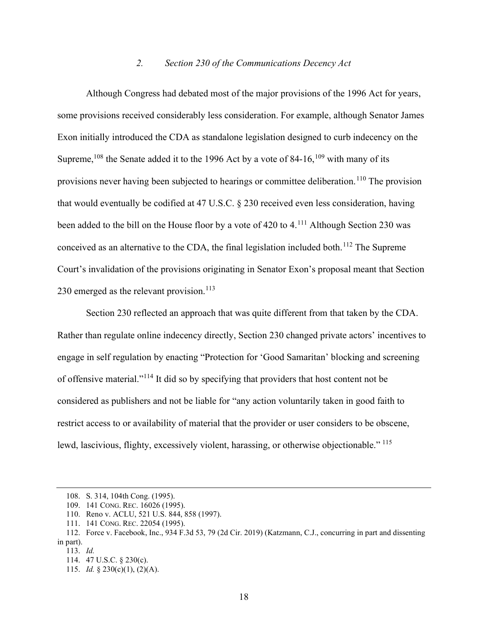## 2. Section 230 of the Communications Decency Act

Although Congress had debated most of the major provisions of the 1996 Act for years, some provisions received considerably less consideration. For example, although Senator James Exon initially introduced the CDA as standalone legislation designed to curb indecency on the Supreme,  $^{108}$  the Senate added it to the 1996 Act by a vote of 84-16,  $^{109}$  with many of its provisions never having been subjected to hearings or committee deliberation.<sup>110</sup> The provision that would eventually be codified at 47 U.S.C. § 230 received even less consideration, having been added to the bill on the House floor by a vote of 420 to 4.<sup>111</sup> Although Section 230 was conceived as an alternative to the CDA, the final legislation included both.<sup>112</sup> The Supreme Court's invalidation of the provisions originating in Senator Exon's proposal meant that Section 230 emerged as the relevant provision.<sup>113</sup>

Section 230 reflected an approach that was quite different from that taken by the CDA. Rather than regulate online indecency directly, Section 230 changed private actors' incentives to engage in self regulation by enacting "Protection for 'Good Samaritan' blocking and screening of offensive material."<sup>114</sup> It did so by specifying that providers that host content not be considered as publishers and not be liable for "any action voluntarily taken in good faith to restrict access to or availability of material that the provider or user considers to be obscene, lewd, lascivious, flighty, excessively violent, harassing, or otherwise objectionable."<sup>115</sup>

 <sup>108.</sup> S. 314, 104th Cong. (1995).

 <sup>109. 141</sup> CONG. REC. 16026 (1995).

 <sup>110.</sup> Reno v. ACLU, 521 U.S. 844, 858 (1997).

 <sup>111. 141</sup> CONG. REC. 22054 (1995).

 <sup>112.</sup> Force v. Facebook, Inc., 934 F.3d 53, 79 (2d Cir. 2019) (Katzmann, C.J., concurring in part and dissenting in part).

 <sup>113.</sup> Id.

 <sup>114. 47</sup> U.S.C. § 230(c).

<sup>115.</sup> *Id.* § 230(c)(1), (2)(A).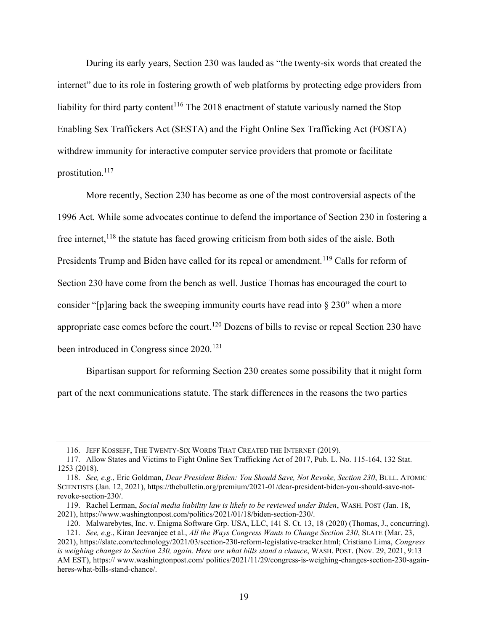During its early years, Section 230 was lauded as "the twenty-six words that created the internet" due to its role in fostering growth of web platforms by protecting edge providers from liability for third party content<sup>116</sup> The 2018 enactment of statute variously named the Stop Enabling Sex Traffickers Act (SESTA) and the Fight Online Sex Trafficking Act (FOSTA) withdrew immunity for interactive computer service providers that promote or facilitate prostitution.<sup>117</sup>

More recently, Section 230 has become as one of the most controversial aspects of the 1996 Act. While some advocates continue to defend the importance of Section 230 in fostering a free internet,  $118$  the statute has faced growing criticism from both sides of the aisle. Both Presidents Trump and Biden have called for its repeal or amendment.<sup>119</sup> Calls for reform of Section 230 have come from the bench as well. Justice Thomas has encouraged the court to consider "[p]aring back the sweeping immunity courts have read into  $\S 230$ " when a more appropriate case comes before the court.<sup>120</sup> Dozens of bills to revise or repeal Section 230 have been introduced in Congress since  $2020$ .<sup>121</sup>

Bipartisan support for reforming Section 230 creates some possibility that it might form part of the next communications statute. The stark differences in the reasons the two parties

 <sup>116.</sup> JEFF KOSSEFF, THE TWENTY-SIX WORDS THAT CREATED THE INTERNET (2019).

 <sup>117.</sup> Allow States and Victims to Fight Online Sex Trafficking Act of 2017, Pub. L. No. 115-164, 132 Stat. 1253 (2018).

<sup>118.</sup> See, e.g., Eric Goldman, Dear President Biden: You Should Save, Not Revoke, Section 230, BULL. ATOMIC SCIENTISTS (Jan. 12, 2021), https://thebulletin.org/premium/2021-01/dear-president-biden-you-should-save-notrevoke-section-230/.

 <sup>119.</sup> Rachel Lerman, Social media liability law is likely to be reviewed under Biden, WASH. POST (Jan. 18, 2021), https://www.washingtonpost.com/politics/2021/01/18/biden-section-230/.

 <sup>120.</sup> Malwarebytes, Inc. v. Enigma Software Grp. USA, LLC, 141 S. Ct. 13, 18 (2020) (Thomas, J., concurring).

<sup>121.</sup> See, e.g., Kiran Jeevanjee et al., All the Ways Congress Wants to Change Section 230, SLATE (Mar. 23, 2021), https://slate.com/technology/2021/03/section-230-reform-legislative-tracker.html; Cristiano Lima, Congress is weighing changes to Section 230, again. Here are what bills stand a chance, WASH. POST. (Nov. 29, 2021, 9:13 AM EST), https:// www.washingtonpost.com/ politics/2021/11/29/congress-is-weighing-changes-section-230-againheres-what-bills-stand-chance/.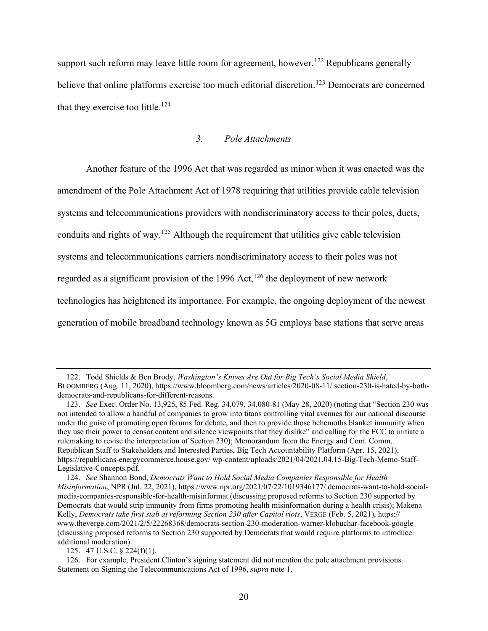support such reform may leave little room for agreement, however.<sup>122</sup> Republicans generally believe that online platforms exercise too much editorial discretion.<sup>123</sup> Democrats are concerned that they exercise too little.<sup>124</sup>

## 3. Pole Attachments

Another feature of the 1996 Act that was regarded as minor when it was enacted was the amendment of the Pole Attachment Act of 1978 requiring that utilities provide cable television systems and telecommunications providers with nondiscriminatory access to their poles, ducts, conduits and rights of way.<sup>125</sup> Although the requirement that utilities give cable television systems and telecommunications carriers nondiscriminatory access to their poles was not regarded as a significant provision of the 1996 Act,  $126$  the deployment of new network technologies has heightened its importance. For example, the ongoing deployment of the newest generation of mobile broadband technology known as 5G employs base stations that serve areas

125. 47 U.S.C. § 224(f)(1).

<sup>122.</sup> Todd Shields & Ben Brody, Washington's Knives Are Out for Big Tech's Social Media Shield, BLOOMBERG (Aug. 11, 2020), https://www.bloomberg.com/news/articles/2020-08-11/ section-230-is-hated-by-bothdemocrats-and-republicans-for-different-reasons.

<sup>123.</sup> See Exec. Order No. 13,925, 85 Fed. Reg. 34,079, 34,080-81 (May 28, 2020) (noting that "Section 230 was not intended to allow a handful of companies to grow into titans controlling vital avenues for our national discourse under the guise of promoting open forums for debate, and then to provide those behemoths blanket immunity when they use their power to censor content and silence viewpoints that they dislike" and calling for the FCC to initiate a rulemaking to revise the interpretation of Section 230); Memorandum from the Energy and Com. Comm. Republican Staff to Stakeholders and Interested Parties, Big Tech Accountability Platform (Apr. 15, 2021), https://republicans-energycommerce.house.gov/ wp-content/uploads/2021/04/2021.04.15-Big-Tech-Memo-Staff-Legislative-Concepts.pdf.

<sup>124.</sup> See Shannon Bond, Democrats Want to Hold Social Media Companies Responsible for Health Misinformation, NPR (Jul. 22, 2021), https://www.npr.org/2021/07/22/1019346177/ democrats-want-to-hold-socialmedia-companies-responsible-for-health-misinformat (discussing proposed reforms to Section 230 supported by Democrats that would strip immunity from firms promoting health misinformation during a health crisis); Makena Kelly, Democrats take first stab at reforming Section 230 after Capitol riots, VERGE (Feb. 5, 2021), https:// www.theverge.com/2021/2/5/22268368/democrats-section-230-moderation-warner-klobuchar-facebook-google (discussing proposed reforms to Section 230 supported by Democrats that would require platforms to introduce additional moderation).

 <sup>126.</sup> For example, President Clinton's signing statement did not mention the pole attachment provisions. Statement on Signing the Telecommunications Act of 1996, supra note 1.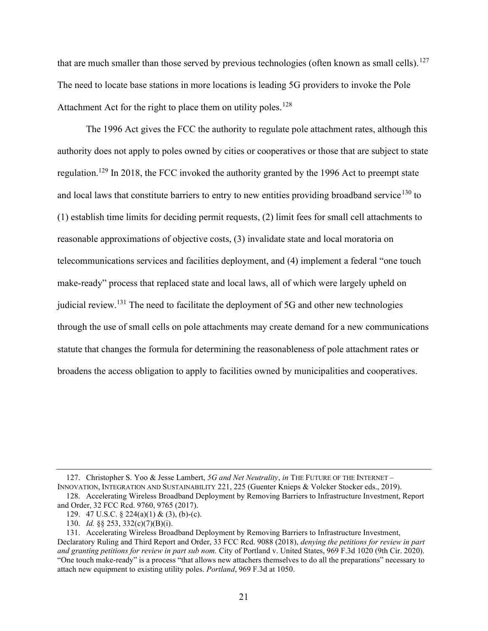that are much smaller than those served by previous technologies (often known as small cells).<sup>127</sup> The need to locate base stations in more locations is leading 5G providers to invoke the Pole Attachment Act for the right to place them on utility poles.<sup>128</sup>

The 1996 Act gives the FCC the authority to regulate pole attachment rates, although this authority does not apply to poles owned by cities or cooperatives or those that are subject to state regulation.<sup>129</sup> In 2018, the FCC invoked the authority granted by the 1996 Act to preempt state and local laws that constitute barriers to entry to new entities providing broadband service<sup>130</sup> to (1) establish time limits for deciding permit requests, (2) limit fees for small cell attachments to reasonable approximations of objective costs, (3) invalidate state and local moratoria on telecommunications services and facilities deployment, and (4) implement a federal "one touch make-ready" process that replaced state and local laws, all of which were largely upheld on judicial review.<sup>131</sup> The need to facilitate the deployment of 5G and other new technologies through the use of small cells on pole attachments may create demand for a new communications statute that changes the formula for determining the reasonableness of pole attachment rates or broadens the access obligation to apply to facilities owned by municipalities and cooperatives.

<sup>127.</sup> Christopher S. Yoo & Jesse Lambert, 5G and Net Neutrality, in THE FUTURE OF THE INTERNET -INNOVATION, INTEGRATION AND SUSTAINABILITY 221, 225 (Guenter Knieps & Volcker Stocker eds., 2019).

 <sup>128.</sup> Accelerating Wireless Broadband Deployment by Removing Barriers to Infrastructure Investment, Report and Order, 32 FCC Rcd. 9760, 9765 (2017).

 <sup>129. 47</sup> U.S.C. § 224(a)(1) & (3), (b)-(c).

<sup>130.</sup> Id. §§ 253, 332(c)(7)(B)(i).

 <sup>131.</sup> Accelerating Wireless Broadband Deployment by Removing Barriers to Infrastructure Investment, Declaratory Ruling and Third Report and Order, 33 FCC Rcd. 9088 (2018), denying the petitions for review in part and granting petitions for review in part sub nom. City of Portland v. United States, 969 F.3d 1020 (9th Cir. 2020). "One touch make-ready" is a process "that allows new attachers themselves to do all the preparations" necessary to attach new equipment to existing utility poles. Portland, 969 F.3d at 1050.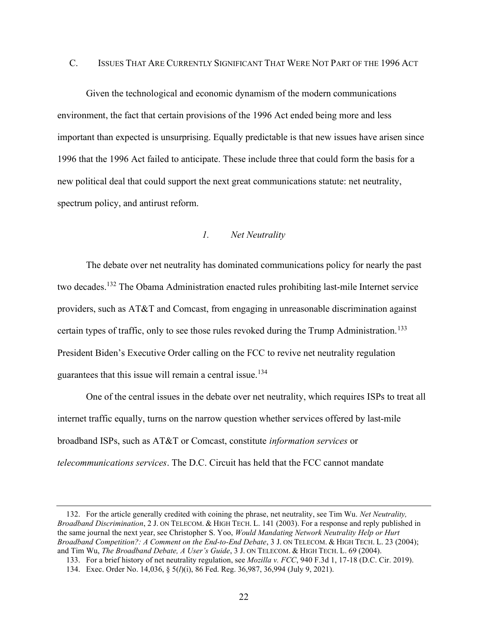## C. ISSUES THAT ARE CURRENTLY SIGNIFICANT THAT WERE NOT PART OF THE 1996 ACT

Given the technological and economic dynamism of the modern communications environment, the fact that certain provisions of the 1996 Act ended being more and less important than expected is unsurprising. Equally predictable is that new issues have arisen since 1996 that the 1996 Act failed to anticipate. These include three that could form the basis for a new political deal that could support the next great communications statute: net neutrality, spectrum policy, and antirust reform.

## 1. Net Neutrality

The debate over net neutrality has dominated communications policy for nearly the past two decades.<sup>132</sup> The Obama Administration enacted rules prohibiting last-mile Internet service providers, such as AT&T and Comcast, from engaging in unreasonable discrimination against certain types of traffic, only to see those rules revoked during the Trump Administration.<sup>133</sup> President Biden's Executive Order calling on the FCC to revive net neutrality regulation guarantees that this issue will remain a central issue.<sup>134</sup>

One of the central issues in the debate over net neutrality, which requires ISPs to treat all internet traffic equally, turns on the narrow question whether services offered by last-mile broadband ISPs, such as AT&T or Comcast, constitute information services or telecommunications services. The D.C. Circuit has held that the FCC cannot mandate

<sup>132.</sup> For the article generally credited with coining the phrase, net neutrality, see Tim Wu. Net Neutrality, Broadband Discrimination, 2 J. ON TELECOM. & HIGH TECH. L. 141 (2003). For a response and reply published in the same journal the next year, see Christopher S. Yoo, Would Mandating Network Neutrality Help or Hurt Broadband Competition?: A Comment on the End-to-End Debate, 3 J. ON TELECOM. & HIGH TECH. L. 23 (2004); and Tim Wu, The Broadband Debate, A User's Guide, 3 J. ON TELECOM. & HIGH TECH. L. 69 (2004).

<sup>133.</sup> For a brief history of net neutrality regulation, see Mozilla v. FCC, 940 F.3d 1, 17-18 (D.C. Cir. 2019).

 <sup>134.</sup> Exec. Order No. 14,036, § 5(l)(i), 86 Fed. Reg. 36,987, 36,994 (July 9, 2021).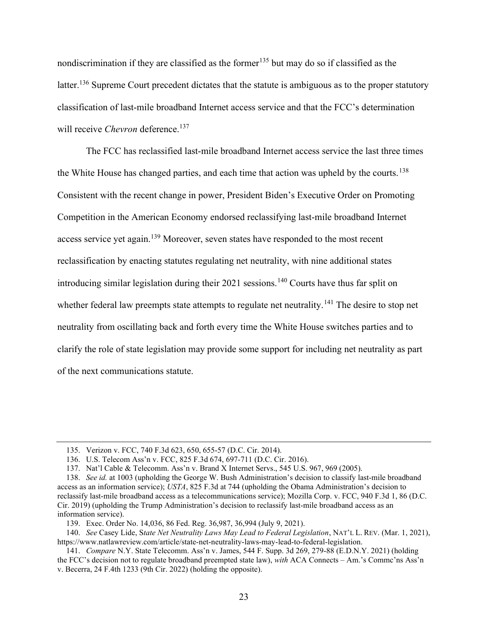nondiscrimination if they are classified as the former<sup>135</sup> but may do so if classified as the latter.<sup>136</sup> Supreme Court precedent dictates that the statute is ambiguous as to the proper statutory classification of last-mile broadband Internet access service and that the FCC's determination will receive *Chevron* deference.<sup>137</sup>

The FCC has reclassified last-mile broadband Internet access service the last three times the White House has changed parties, and each time that action was upheld by the courts.<sup>138</sup> Consistent with the recent change in power, President Biden's Executive Order on Promoting Competition in the American Economy endorsed reclassifying last-mile broadband Internet access service yet again.<sup>139</sup> Moreover, seven states have responded to the most recent reclassification by enacting statutes regulating net neutrality, with nine additional states introducing similar legislation during their 2021 sessions.<sup>140</sup> Courts have thus far split on whether federal law preempts state attempts to regulate net neutrality.<sup>141</sup> The desire to stop net neutrality from oscillating back and forth every time the White House switches parties and to clarify the role of state legislation may provide some support for including net neutrality as part of the next communications statute.

 <sup>135.</sup> Verizon v. FCC, 740 F.3d 623, 650, 655-57 (D.C. Cir. 2014).

 <sup>136.</sup> U.S. Telecom Ass'n v. FCC, 825 F.3d 674, 697-711 (D.C. Cir. 2016).

 <sup>137.</sup> Nat'l Cable & Telecomm. Ass'n v. Brand X Internet Servs., 545 U.S. 967, 969 (2005).

<sup>138.</sup> See id. at 1003 (upholding the George W. Bush Administration's decision to classify last-mile broadband access as an information service); USTA, 825 F.3d at 744 (upholding the Obama Administration's decision to reclassify last-mile broadband access as a telecommunications service); Mozilla Corp. v. FCC, 940 F.3d 1, 86 (D.C. Cir. 2019) (upholding the Trump Administration's decision to reclassify last-mile broadband access as an information service).

 <sup>139.</sup> Exec. Order No. 14,036, 86 Fed. Reg. 36,987, 36,994 (July 9, 2021).

<sup>140.</sup> See Casey Lide, State Net Neutrality Laws May Lead to Federal Legislation, NAT'L L. REV. (Mar. 1, 2021), https://www.natlawreview.com/article/state-net-neutrality-laws-may-lead-to-federal-legislation.

<sup>141.</sup> Compare N.Y. State Telecomm. Ass'n v. James, 544 F. Supp. 3d 269, 279-88 (E.D.N.Y. 2021) (holding the FCC's decision not to regulate broadband preempted state law), with ACA Connects – Am.'s Commc'ns Ass'n v. Becerra, 24 F.4th 1233 (9th Cir. 2022) (holding the opposite).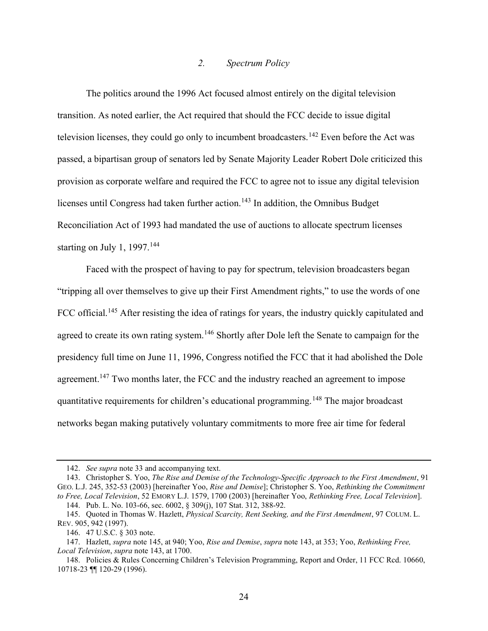## 2. Spectrum Policy

The politics around the 1996 Act focused almost entirely on the digital television transition. As noted earlier, the Act required that should the FCC decide to issue digital television licenses, they could go only to incumbent broadcasters.<sup>142</sup> Even before the Act was passed, a bipartisan group of senators led by Senate Majority Leader Robert Dole criticized this provision as corporate welfare and required the FCC to agree not to issue any digital television licenses until Congress had taken further action.<sup>143</sup> In addition, the Omnibus Budget Reconciliation Act of 1993 had mandated the use of auctions to allocate spectrum licenses starting on July 1, 1997.<sup>144</sup>

Faced with the prospect of having to pay for spectrum, television broadcasters began "tripping all over themselves to give up their First Amendment rights," to use the words of one FCC official.<sup>145</sup> After resisting the idea of ratings for years, the industry quickly capitulated and agreed to create its own rating system.<sup>146</sup> Shortly after Dole left the Senate to campaign for the presidency full time on June 11, 1996, Congress notified the FCC that it had abolished the Dole agreement.<sup>147</sup> Two months later, the FCC and the industry reached an agreement to impose quantitative requirements for children's educational programming.<sup>148</sup> The major broadcast networks began making putatively voluntary commitments to more free air time for federal

<sup>142.</sup> See supra note 33 and accompanying text.

 <sup>143.</sup> Christopher S. Yoo, The Rise and Demise of the Technology-Specific Approach to the First Amendment, 91 GEO. L.J. 245, 352-53 (2003) [hereinafter Yoo, Rise and Demise]; Christopher S. Yoo, Rethinking the Commitment to Free, Local Television, 52 EMORY L.J. 1579, 1700 (2003) [hereinafter Yoo, Rethinking Free, Local Television].

 <sup>144.</sup> Pub. L. No. 103-66, sec. 6002, § 309(j), 107 Stat. 312, 388-92.

<sup>145.</sup> Quoted in Thomas W. Hazlett, *Physical Scarcity, Rent Seeking, and the First Amendment*, 97 COLUM. L. REV. 905, 942 (1997).

 <sup>146. 47</sup> U.S.C. § 303 note.

<sup>147.</sup> Hazlett, supra note 145, at 940; Yoo, Rise and Demise, supra note 143, at 353; Yoo, Rethinking Free, Local Television, supra note 143, at 1700.

 <sup>148.</sup> Policies & Rules Concerning Children's Television Programming, Report and Order, 11 FCC Rcd. 10660, 10718-23 ¶¶ 120-29 (1996).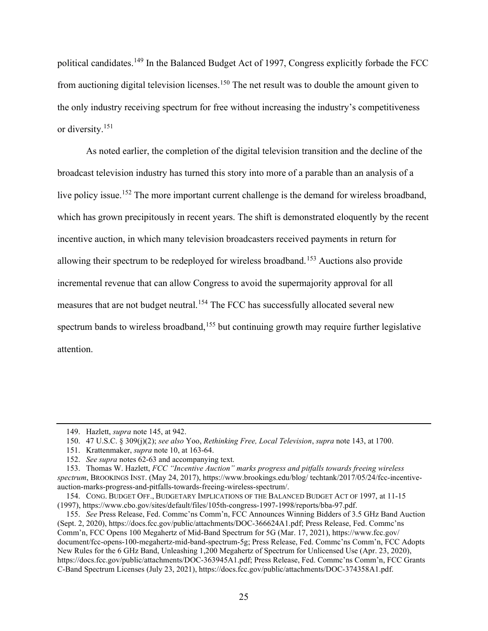political candidates.<sup>149</sup> In the Balanced Budget Act of 1997, Congress explicitly forbade the FCC from auctioning digital television licenses.<sup>150</sup> The net result was to double the amount given to the only industry receiving spectrum for free without increasing the industry's competitiveness or diversity.<sup>151</sup>

As noted earlier, the completion of the digital television transition and the decline of the broadcast television industry has turned this story into more of a parable than an analysis of a live policy issue.<sup>152</sup> The more important current challenge is the demand for wireless broadband, which has grown precipitously in recent years. The shift is demonstrated eloquently by the recent incentive auction, in which many television broadcasters received payments in return for allowing their spectrum to be redeployed for wireless broadband.<sup>153</sup> Auctions also provide incremental revenue that can allow Congress to avoid the supermajority approval for all measures that are not budget neutral.<sup>154</sup> The FCC has successfully allocated several new spectrum bands to wireless broadband,<sup>155</sup> but continuing growth may require further legislative attention.

 <sup>149.</sup> Hazlett, supra note 145, at 942.

 <sup>150. 47</sup> U.S.C. § 309(j)(2); see also Yoo, Rethinking Free, Local Television, supra note 143, at 1700.

 <sup>151.</sup> Krattenmaker, supra note 10, at 163-64.

<sup>152.</sup> See supra notes 62-63 and accompanying text.

 <sup>153.</sup> Thomas W. Hazlett, FCC "Incentive Auction" marks progress and pitfalls towards freeing wireless spectrum, BROOKINGS INST. (May 24, 2017), https://www.brookings.edu/blog/ techtank/2017/05/24/fcc-incentiveauction-marks-progress-and-pitfalls-towards-freeing-wireless-spectrum/.

 <sup>154.</sup> CONG. BUDGET OFF., BUDGETARY IMPLICATIONS OF THE BALANCED BUDGET ACT OF 1997, at 11-15 (1997), https://www.cbo.gov/sites/default/files/105th-congress-1997-1998/reports/bba-97.pdf.

<sup>155.</sup> See Press Release, Fed. Commc'ns Comm'n, FCC Announces Winning Bidders of 3.5 GHz Band Auction (Sept. 2, 2020), https://docs.fcc.gov/public/attachments/DOC-366624A1.pdf; Press Release, Fed. Commc'ns Comm'n, FCC Opens 100 Megahertz of Mid-Band Spectrum for 5G (Mar. 17, 2021), https://www.fcc.gov/ document/fcc-opens-100-megahertz-mid-band-spectrum-5g; Press Release, Fed. Commc'ns Comm'n, FCC Adopts New Rules for the 6 GHz Band, Unleashing 1,200 Megahertz of Spectrum for Unlicensed Use (Apr. 23, 2020), https://docs.fcc.gov/public/attachments/DOC-363945A1.pdf; Press Release, Fed. Commc'ns Comm'n, FCC Grants C-Band Spectrum Licenses (July 23, 2021), https://docs.fcc.gov/public/attachments/DOC-374358A1.pdf.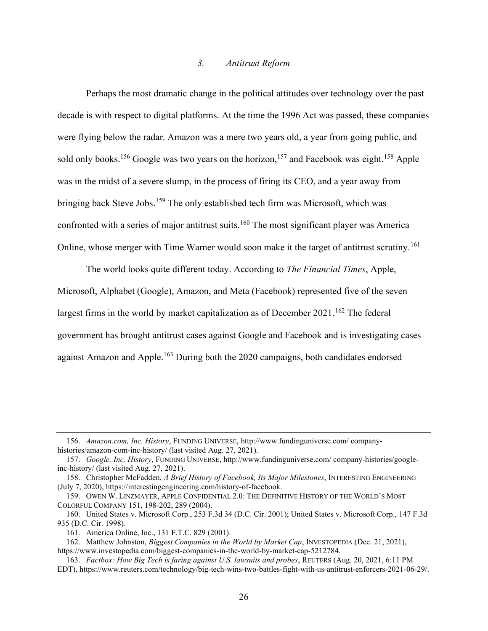#### 3. Antitrust Reform

Perhaps the most dramatic change in the political attitudes over technology over the past decade is with respect to digital platforms. At the time the 1996 Act was passed, these companies were flying below the radar. Amazon was a mere two years old, a year from going public, and sold only books.<sup>156</sup> Google was two years on the horizon,<sup>157</sup> and Facebook was eight.<sup>158</sup> Apple was in the midst of a severe slump, in the process of firing its CEO, and a year away from bringing back Steve Jobs.<sup>159</sup> The only established tech firm was Microsoft, which was confronted with a series of major antitrust suits.<sup>160</sup> The most significant player was America Online, whose merger with Time Warner would soon make it the target of antitrust scrutiny.<sup>161</sup>

The world looks quite different today. According to The Financial Times, Apple, Microsoft, Alphabet (Google), Amazon, and Meta (Facebook) represented five of the seven largest firms in the world by market capitalization as of December  $2021$ .<sup>162</sup> The federal government has brought antitrust cases against Google and Facebook and is investigating cases against Amazon and Apple.<sup>163</sup> During both the 2020 campaigns, both candidates endorsed

<sup>156.</sup> Amazon.com, Inc. History, FUNDING UNIVERSE, http://www.fundinguniverse.com/ companyhistories/amazon-com-inc-history/ (last visited Aug. 27, 2021).

<sup>157.</sup> Google, Inc. History, FUNDING UNIVERSE, http://www.fundinguniverse.com/ company-histories/googleinc-history/ (last visited Aug. 27, 2021).

<sup>158.</sup> Christopher McFadden, A Brief History of Facebook, Its Major Milestones, INTERESTING ENGINEERING (July 7, 2020), https://interestingengineering.com/history-of-facebook.

 <sup>159.</sup> OWEN W. LINZMAYER, APPLE CONFIDENTIAL 2.0: THE DEFINITIVE HISTORY OF THE WORLD'S MOST COLORFUL COMPANY 151, 198-202, 289 (2004).

 <sup>160.</sup> United States v. Microsoft Corp., 253 F.3d 34 (D.C. Cir. 2001); United States v. Microsoft Corp., 147 F.3d 935 (D.C. Cir. 1998).

 <sup>161.</sup> America Online, Inc., 131 F.T.C. 829 (2001).

 <sup>162.</sup> Matthew Johnston, Biggest Companies in the World by Market Cap, INVESTOPEDIA (Dec. 21, 2021), https://www.investopedia.com/biggest-companies-in-the-world-by-market-cap-5212784.

<sup>163.</sup> Factbox: How Big Tech is faring against U.S. lawsuits and probes, REUTERS (Aug. 20, 2021, 6:11 PM EDT), https://www.reuters.com/technology/big-tech-wins-two-battles-fight-with-us-antitrust-enforcers-2021-06-29/.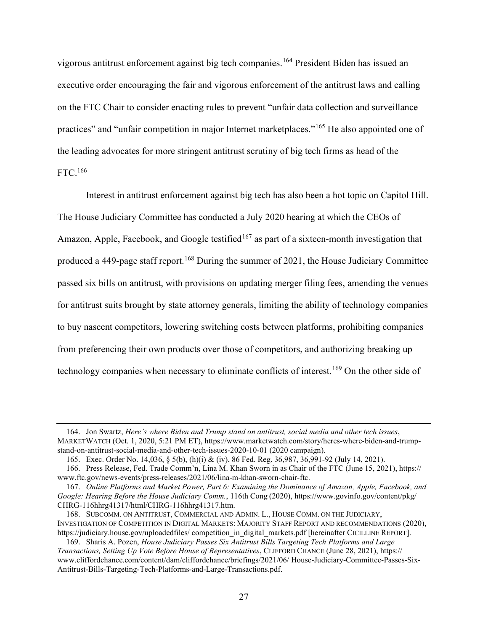vigorous antitrust enforcement against big tech companies.<sup>164</sup> President Biden has issued an executive order encouraging the fair and vigorous enforcement of the antitrust laws and calling on the FTC Chair to consider enacting rules to prevent "unfair data collection and surveillance practices" and "unfair competition in major Internet marketplaces."<sup>165</sup> He also appointed one of the leading advocates for more stringent antitrust scrutiny of big tech firms as head of the FTC.<sup>166</sup>

Interest in antitrust enforcement against big tech has also been a hot topic on Capitol Hill. The House Judiciary Committee has conducted a July 2020 hearing at which the CEOs of Amazon, Apple, Facebook, and Google testified<sup>167</sup> as part of a sixteen-month investigation that produced a 449-page staff report.<sup>168</sup> During the summer of 2021, the House Judiciary Committee passed six bills on antitrust, with provisions on updating merger filing fees, amending the venues for antitrust suits brought by state attorney generals, limiting the ability of technology companies to buy nascent competitors, lowering switching costs between platforms, prohibiting companies from preferencing their own products over those of competitors, and authorizing breaking up technology companies when necessary to eliminate conflicts of interest.<sup>169</sup> On the other side of

 <sup>164.</sup> Jon Swartz, Here's where Biden and Trump stand on antitrust, social media and other tech issues, MARKETWATCH (Oct. 1, 2020, 5:21 PM ET), https://www.marketwatch.com/story/heres-where-biden-and-trumpstand-on-antitrust-social-media-and-other-tech-issues-2020-10-01 (2020 campaign).

 <sup>165.</sup> Exec. Order No. 14,036, § 5(b), (h)(i) & (iv), 86 Fed. Reg. 36,987, 36,991-92 (July 14, 2021).

 <sup>166.</sup> Press Release, Fed. Trade Comm'n, Lina M. Khan Sworn in as Chair of the FTC (June 15, 2021), https:// www.ftc.gov/news-events/press-releases/2021/06/lina-m-khan-sworn-chair-ftc.

<sup>167.</sup> Online Platforms and Market Power, Part 6: Examining the Dominance of Amazon, Apple, Facebook, and Google: Hearing Before the House Judiciary Comm., 116th Cong (2020), https://www.govinfo.gov/content/pkg/ CHRG-116hhrg41317/html/CHRG-116hhrg41317.htm.

 <sup>168.</sup> SUBCOMM. ON ANTITRUST, COMMERCIAL AND ADMIN. L., HOUSE COMM. ON THE JUDICIARY, INVESTIGATION OF COMPETITION IN DIGITAL MARKETS: MAJORITY STAFF REPORT AND RECOMMENDATIONS (2020), https://judiciary.house.gov/uploadedfiles/ competition\_in\_digital\_markets.pdf [hereinafter CICILLINE REPORT].

 <sup>169.</sup> Sharis A. Pozen, House Judiciary Passes Six Antitrust Bills Targeting Tech Platforms and Large Transactions, Setting Up Vote Before House of Representatives, CLIFFORD CHANCE (June 28, 2021), https:// www.cliffordchance.com/content/dam/cliffordchance/briefings/2021/06/ House-Judiciary-Committee-Passes-Six-Antitrust-Bills-Targeting-Tech-Platforms-and-Large-Transactions.pdf.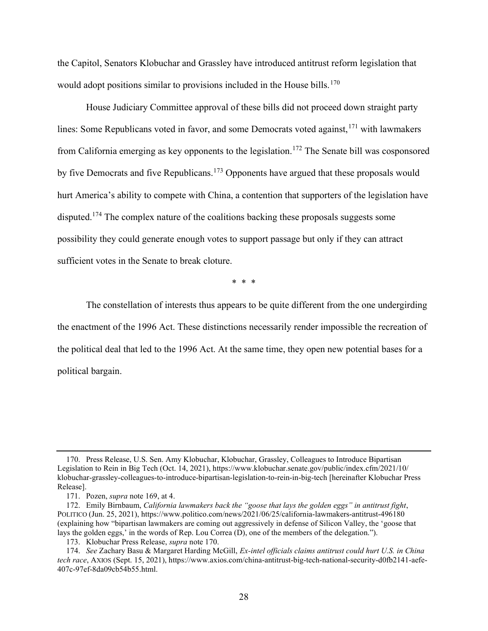the Capitol, Senators Klobuchar and Grassley have introduced antitrust reform legislation that would adopt positions similar to provisions included in the House bills.<sup>170</sup>

House Judiciary Committee approval of these bills did not proceed down straight party lines: Some Republicans voted in favor, and some Democrats voted against,  $171$  with lawmakers from California emerging as key opponents to the legislation.<sup>172</sup> The Senate bill was cosponsored by five Democrats and five Republicans.<sup>173</sup> Opponents have argued that these proposals would hurt America's ability to compete with China, a contention that supporters of the legislation have disputed.<sup>174</sup> The complex nature of the coalitions backing these proposals suggests some possibility they could generate enough votes to support passage but only if they can attract sufficient votes in the Senate to break cloture.

\* \* \*

The constellation of interests thus appears to be quite different from the one undergirding the enactment of the 1996 Act. These distinctions necessarily render impossible the recreation of the political deal that led to the 1996 Act. At the same time, they open new potential bases for a political bargain.

 <sup>170.</sup> Press Release, U.S. Sen. Amy Klobuchar, Klobuchar, Grassley, Colleagues to Introduce Bipartisan Legislation to Rein in Big Tech (Oct. 14, 2021), https://www.klobuchar.senate.gov/public/index.cfm/2021/10/ klobuchar-grassley-colleagues-to-introduce-bipartisan-legislation-to-rein-in-big-tech [hereinafter Klobuchar Press Release].

 <sup>171.</sup> Pozen, supra note 169, at 4.

<sup>172.</sup> Emily Birnbaum, California lawmakers back the "goose that lays the golden eggs" in antitrust fight, POLITICO (Jun. 25, 2021), https://www.politico.com/news/2021/06/25/california-lawmakers-antitrust-496180 (explaining how "bipartisan lawmakers are coming out aggressively in defense of Silicon Valley, the 'goose that lays the golden eggs,' in the words of Rep. Lou Correa (D), one of the members of the delegation.").

 <sup>173.</sup> Klobuchar Press Release, supra note 170.

<sup>174.</sup> See Zachary Basu & Margaret Harding McGill, Ex-intel officials claims antitrust could hurt U.S. in China tech race, AXIOS (Sept. 15, 2021), https://www.axios.com/china-antitrust-big-tech-national-security-d0fb2141-aefe-407c-97ef-8da09cb54b55.html.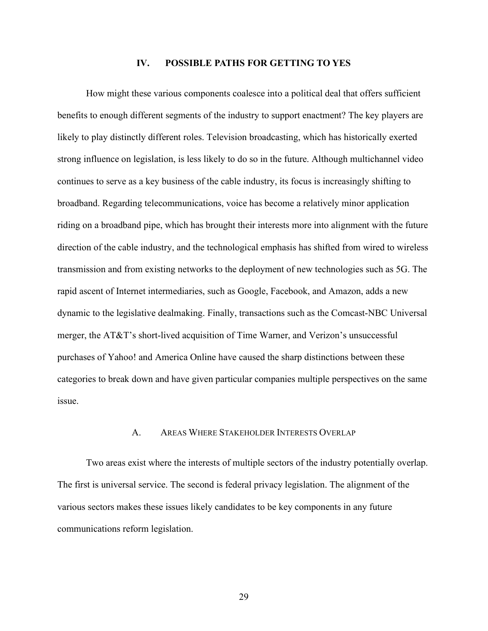## IV. POSSIBLE PATHS FOR GETTING TO YES

How might these various components coalesce into a political deal that offers sufficient benefits to enough different segments of the industry to support enactment? The key players are likely to play distinctly different roles. Television broadcasting, which has historically exerted strong influence on legislation, is less likely to do so in the future. Although multichannel video continues to serve as a key business of the cable industry, its focus is increasingly shifting to broadband. Regarding telecommunications, voice has become a relatively minor application riding on a broadband pipe, which has brought their interests more into alignment with the future direction of the cable industry, and the technological emphasis has shifted from wired to wireless transmission and from existing networks to the deployment of new technologies such as 5G. The rapid ascent of Internet intermediaries, such as Google, Facebook, and Amazon, adds a new dynamic to the legislative dealmaking. Finally, transactions such as the Comcast-NBC Universal merger, the AT&T's short-lived acquisition of Time Warner, and Verizon's unsuccessful purchases of Yahoo! and America Online have caused the sharp distinctions between these categories to break down and have given particular companies multiple perspectives on the same issue.

#### A. AREAS WHERE STAKEHOLDER INTERESTS OVERLAP

Two areas exist where the interests of multiple sectors of the industry potentially overlap. The first is universal service. The second is federal privacy legislation. The alignment of the various sectors makes these issues likely candidates to be key components in any future communications reform legislation.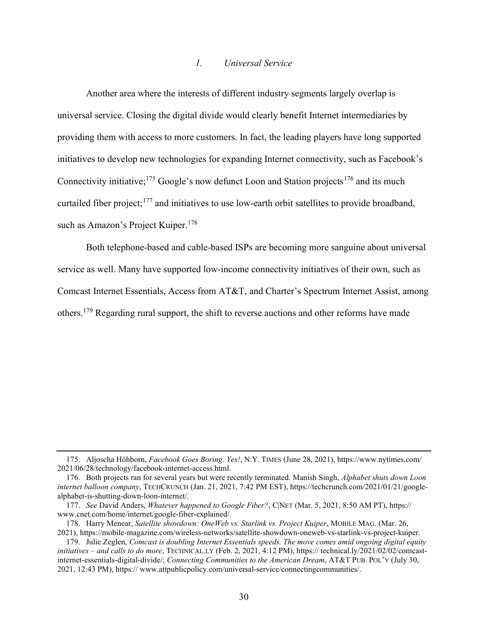#### 1. Universal Service

Another area where the interests of different industry segments largely overlap is universal service. Closing the digital divide would clearly benefit Internet intermediaries by providing them with access to more customers. In fact, the leading players have long supported initiatives to develop new technologies for expanding Internet connectivity, such as Facebook's Connectivity initiative;<sup>175</sup> Google's now defunct Loon and Station projects<sup>176</sup> and its much curtailed fiber project;<sup>177</sup> and initiatives to use low-earth orbit satellites to provide broadband, such as Amazon's Project Kuiper.<sup>178</sup>

Both telephone-based and cable-based ISPs are becoming more sanguine about universal service as well. Many have supported low-income connectivity initiatives of their own, such as Comcast Internet Essentials, Access from AT&T, and Charter's Spectrum Internet Assist, among others.<sup>179</sup> Regarding rural support, the shift to reverse auctions and other reforms have made

 <sup>175.</sup> Aljoscha Höhborn, Facebook Goes Boring. Yes!, N.Y. TIMES (June 28, 2021), https://www.nytimes.com/ 2021/06/28/technology/facebook-internet-access.html.

<sup>176.</sup> Both projects ran for several years but were recently terminated. Manish Singh, Alphabet shuts down Loon internet balloon company, TECHCRUNCH (Jan. 21, 2021, 7:42 PM EST), https://techcrunch.com/2021/01/21/googlealphabet-is-shutting-down-loon-internet/.

<sup>177.</sup> See David Anders, Whatever happened to Google Fiber?, C|NET (Mar. 5, 2021, 8:50 AM PT), https:// www.cnet.com/home/internet/google-fiber-explained/.

 <sup>178.</sup> Harry Menear, Satellite showdown: OneWeb vs. Starlink vs. Project Kuiper, MOBILE MAG. (Mar. 26, 2021), https://mobile-magazine.com/wireless-networks/satellite-showdown-oneweb-vs-starlink-vs-project-kuiper.

 <sup>179.</sup> Julie Zeglen, Comcast is doubling Internet Essentials speeds. The move comes amid ongoing digital equity initiatives – and calls to do more, TECHNICAL.LY (Feb. 2, 2021, 4:12 PM), https:// technical.ly/2021/02/02/comcastinternet-essentials-digital-divide/; Connecting Communities to the American Dream, AT&T PUB. POL'Y (July 30, 2021, 12:43 PM), https:// www.attpublicpolicy.com/universal-service/connectingcommunities/.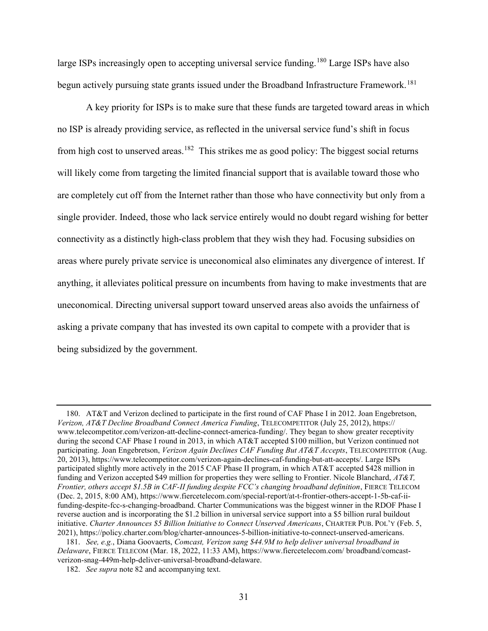large ISPs increasingly open to accepting universal service funding.<sup>180</sup> Large ISPs have also begun actively pursuing state grants issued under the Broadband Infrastructure Framework.<sup>181</sup>

A key priority for ISPs is to make sure that these funds are targeted toward areas in which no ISP is already providing service, as reflected in the universal service fund's shift in focus from high cost to unserved areas.<sup>182</sup> This strikes me as good policy: The biggest social returns will likely come from targeting the limited financial support that is available toward those who are completely cut off from the Internet rather than those who have connectivity but only from a single provider. Indeed, those who lack service entirely would no doubt regard wishing for better connectivity as a distinctly high-class problem that they wish they had. Focusing subsidies on areas where purely private service is uneconomical also eliminates any divergence of interest. If anything, it alleviates political pressure on incumbents from having to make investments that are uneconomical. Directing universal support toward unserved areas also avoids the unfairness of asking a private company that has invested its own capital to compete with a provider that is being subsidized by the government.

 <sup>180.</sup> AT&T and Verizon declined to participate in the first round of CAF Phase I in 2012. Joan Engebretson, Verizon, AT&T Decline Broadband Connect America Funding, TELECOMPETITOR (July 25, 2012), https:// www.telecompetitor.com/verizon-att-decline-connect-america-funding/. They began to show greater receptivity during the second CAF Phase I round in 2013, in which AT&T accepted \$100 million, but Verizon continued not participating. Joan Engebretson, Verizon Again Declines CAF Funding But AT&T Accepts, TELECOMPETITOR (Aug. 20, 2013), https://www.telecompetitor.com/verizon-again-declines-caf-funding-but-att-accepts/. Large ISPs participated slightly more actively in the 2015 CAF Phase II program, in which AT&T accepted \$428 million in funding and Verizon accepted \$49 million for properties they were selling to Frontier. Nicole Blanchard, AT&T, Frontier, others accept \$1.5B in CAF-II funding despite FCC's changing broadband definition, FIERCE TELECOM (Dec. 2, 2015, 8:00 AM), https://www.fiercetelecom.com/special-report/at-t-frontier-others-accept-1-5b-caf-iifunding-despite-fcc-s-changing-broadband. Charter Communications was the biggest winner in the RDOF Phase I reverse auction and is incorporating the \$1.2 billion in universal service support into a \$5 billion rural buildout initiative. Charter Announces \$5 Billion Initiative to Connect Unserved Americans, CHARTER PUB. POL'Y (Feb. 5, 2021), https://policy.charter.com/blog/charter-announces-5-billion-initiative-to-connect-unserved-americans.

 <sup>181.</sup> See, e.g., Diana Goovaerts, Comcast, Verizon sang \$44.9M to help deliver universal broadband in Delaware, FIERCE TELECOM (Mar. 18, 2022, 11:33 AM), https://www.fiercetelecom.com/ broadband/comcastverizon-snag-449m-help-deliver-universal-broadband-delaware.

<sup>182.</sup> See supra note 82 and accompanying text.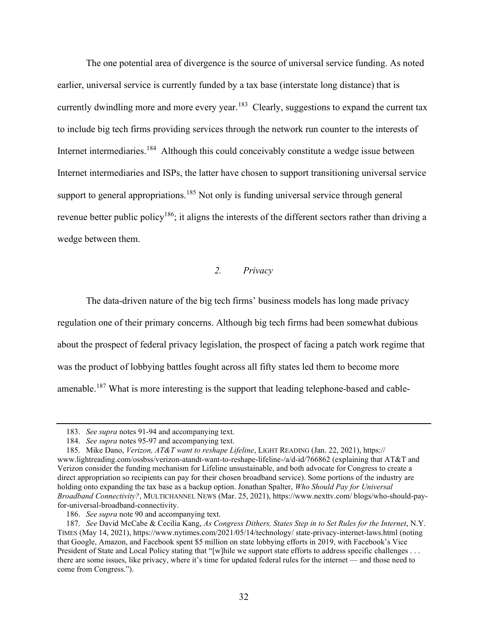The one potential area of divergence is the source of universal service funding. As noted earlier, universal service is currently funded by a tax base (interstate long distance) that is currently dwindling more and more every year.<sup>183</sup> Clearly, suggestions to expand the current tax to include big tech firms providing services through the network run counter to the interests of Internet intermediaries.<sup>184</sup> Although this could conceivably constitute a wedge issue between Internet intermediaries and ISPs, the latter have chosen to support transitioning universal service support to general appropriations.<sup>185</sup> Not only is funding universal service through general revenue better public policy<sup>186</sup>; it aligns the interests of the different sectors rather than driving a wedge between them.

## 2. Privacy

The data-driven nature of the big tech firms' business models has long made privacy regulation one of their primary concerns. Although big tech firms had been somewhat dubious about the prospect of federal privacy legislation, the prospect of facing a patch work regime that was the product of lobbying battles fought across all fifty states led them to become more amenable.<sup>187</sup> What is more interesting is the support that leading telephone-based and cable-

<sup>183.</sup> See supra notes 91-94 and accompanying text.

<sup>184.</sup> See supra notes 95-97 and accompanying text.

 <sup>185.</sup> Mike Dano, Verizon, AT&T want to reshape Lifeline, LIGHT READING (Jan. 22, 2021), https:// www.lightreading.com/ossbss/verizon-atandt-want-to-reshape-lifeline-/a/d-id/766862 (explaining that AT&T and Verizon consider the funding mechanism for Lifeline unsustainable, and both advocate for Congress to create a direct appropriation so recipients can pay for their chosen broadband service). Some portions of the industry are holding onto expanding the tax base as a backup option. Jonathan Spalter, Who Should Pay for Universal Broadband Connectivity?, MULTICHANNEL NEWS (Mar. 25, 2021), https://www.nexttv.com/ blogs/who-should-payfor-universal-broadband-connectivity.

<sup>186.</sup> See supra note 90 and accompanying text.

<sup>187.</sup> See David McCabe & Cecilia Kang, As Congress Dithers, States Step in to Set Rules for the Internet, N.Y. TIMES (May 14, 2021), https://www.nytimes.com/2021/05/14/technology/ state-privacy-internet-laws.html (noting that Google, Amazon, and Facebook spent \$5 million on state lobbying efforts in 2019, with Facebook's Vice President of State and Local Policy stating that "[w]hile we support state efforts to address specific challenges . . . there are some issues, like privacy, where it's time for updated federal rules for the internet — and those need to come from Congress.").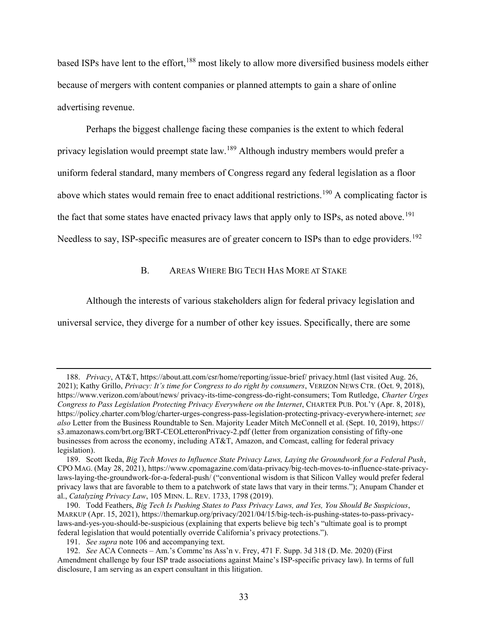based ISPs have lent to the effort,<sup>188</sup> most likely to allow more diversified business models either because of mergers with content companies or planned attempts to gain a share of online advertising revenue.

Perhaps the biggest challenge facing these companies is the extent to which federal privacy legislation would preempt state law.<sup>189</sup> Although industry members would prefer a uniform federal standard, many members of Congress regard any federal legislation as a floor above which states would remain free to enact additional restrictions.<sup>190</sup> A complicating factor is the fact that some states have enacted privacy laws that apply only to ISPs, as noted above.<sup>191</sup> Needless to say, ISP-specific measures are of greater concern to ISPs than to edge providers.<sup>192</sup>

### B. AREAS WHERE BIG TECH HAS MORE AT STAKE

Although the interests of various stakeholders align for federal privacy legislation and

universal service, they diverge for a number of other key issues. Specifically, there are some

<sup>188.</sup> Privacy, AT&T, https://about.att.com/csr/home/reporting/issue-brief/ privacy.html (last visited Aug. 26, 2021); Kathy Grillo, Privacy: It's time for Congress to do right by consumers, VERIZON NEWS CTR. (Oct. 9, 2018), https://www.verizon.com/about/news/ privacy-its-time-congress-do-right-consumers; Tom Rutledge, Charter Urges Congress to Pass Legislation Protecting Privacy Everywhere on the Internet, CHARTER PUB. POL'Y (Apr. 8, 2018), https://policy.charter.com/blog/charter-urges-congress-pass-legislation-protecting-privacy-everywhere-internet; see also Letter from the Business Roundtable to Sen. Majority Leader Mitch McConnell et al. (Sept. 10, 2019), https:// s3.amazonaws.com/brt.org/BRT-CEOLetteronPrivacy-2.pdf (letter from organization consisting of fifty-one businesses from across the economy, including AT&T, Amazon, and Comcast, calling for federal privacy legislation).

 <sup>189.</sup> Scott Ikeda, Big Tech Moves to Influence State Privacy Laws, Laying the Groundwork for a Federal Push, CPO MAG. (May 28, 2021), https://www.cpomagazine.com/data-privacy/big-tech-moves-to-influence-state-privacylaws-laying-the-groundwork-for-a-federal-push/ ("conventional wisdom is that Silicon Valley would prefer federal privacy laws that are favorable to them to a patchwork of state laws that vary in their terms."); Anupam Chander et al., Catalyzing Privacy Law, 105 MINN. L. REV. 1733, 1798 (2019).

 <sup>190.</sup> Todd Feathers, Big Tech Is Pushing States to Pass Privacy Laws, and Yes, You Should Be Suspicious, MARKUP (Apr. 15, 2021), https://themarkup.org/privacy/2021/04/15/big-tech-is-pushing-states-to-pass-privacylaws-and-yes-you-should-be-suspicious (explaining that experts believe big tech's "ultimate goal is to prompt federal legislation that would potentially override California's privacy protections.").

<sup>191.</sup> See supra note 106 and accompanying text.

<sup>192.</sup> See ACA Connects – Am.'s Commc'ns Ass'n v. Frey, 471 F. Supp. 3d 318 (D. Me. 2020) (First Amendment challenge by four ISP trade associations against Maine's ISP-specific privacy law). In terms of full disclosure, I am serving as an expert consultant in this litigation.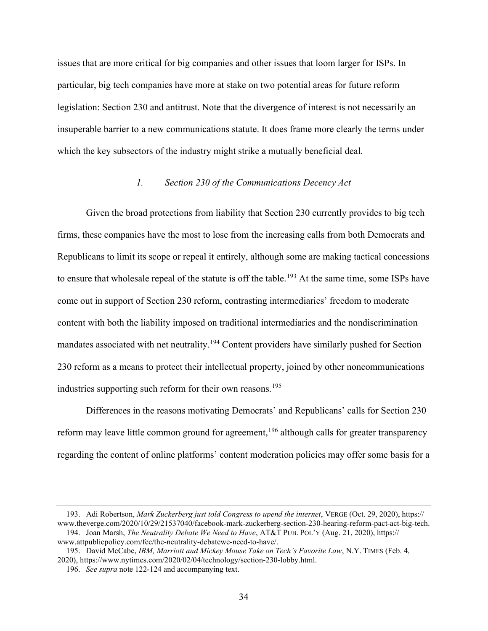issues that are more critical for big companies and other issues that loom larger for ISPs. In particular, big tech companies have more at stake on two potential areas for future reform legislation: Section 230 and antitrust. Note that the divergence of interest is not necessarily an insuperable barrier to a new communications statute. It does frame more clearly the terms under which the key subsectors of the industry might strike a mutually beneficial deal.

## 1. Section 230 of the Communications Decency Act

Given the broad protections from liability that Section 230 currently provides to big tech firms, these companies have the most to lose from the increasing calls from both Democrats and Republicans to limit its scope or repeal it entirely, although some are making tactical concessions to ensure that wholesale repeal of the statute is off the table.<sup>193</sup> At the same time, some ISPs have come out in support of Section 230 reform, contrasting intermediaries' freedom to moderate content with both the liability imposed on traditional intermediaries and the nondiscrimination mandates associated with net neutrality.<sup>194</sup> Content providers have similarly pushed for Section 230 reform as a means to protect their intellectual property, joined by other noncommunications industries supporting such reform for their own reasons.<sup>195</sup>

Differences in the reasons motivating Democrats' and Republicans' calls for Section 230 reform may leave little common ground for agreement,  $196$  although calls for greater transparency regarding the content of online platforms' content moderation policies may offer some basis for a

 <sup>193.</sup> Adi Robertson, Mark Zuckerberg just told Congress to upend the internet, VERGE (Oct. 29, 2020), https:// www.theverge.com/2020/10/29/21537040/facebook-mark-zuckerberg-section-230-hearing-reform-pact-act-big-tech.

 <sup>194.</sup> Joan Marsh, The Neutrality Debate We Need to Have, AT&T PUB. POL'Y (Aug. 21, 2020), https:// www.attpublicpolicy.com/fcc/the-neutrality-debatewe-need-to-have/.

<sup>195.</sup> David McCabe, IBM, Marriott and Mickey Mouse Take on Tech's Favorite Law, N.Y. TIMES (Feb. 4, 2020), https://www.nytimes.com/2020/02/04/technology/section-230-lobby.html.

<sup>196.</sup> See supra note 122-124 and accompanying text.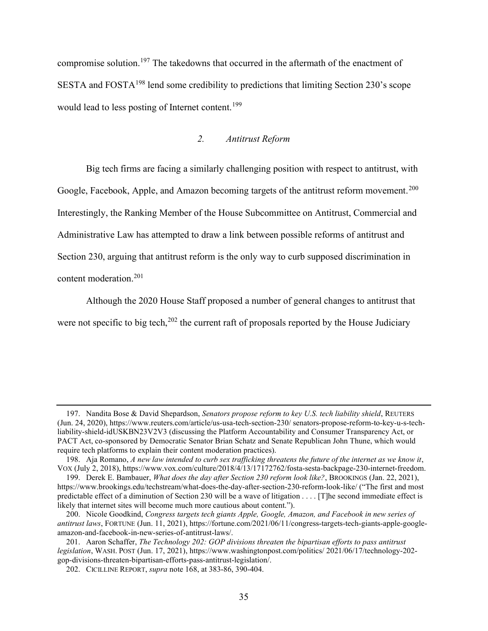compromise solution.<sup>197</sup> The takedowns that occurred in the aftermath of the enactment of SESTA and FOSTA<sup>198</sup> lend some credibility to predictions that limiting Section 230's scope would lead to less posting of Internet content.<sup>199</sup>

## 2. Antitrust Reform

Big tech firms are facing a similarly challenging position with respect to antitrust, with Google, Facebook, Apple, and Amazon becoming targets of the antitrust reform movement.<sup>200</sup> Interestingly, the Ranking Member of the House Subcommittee on Antitrust, Commercial and Administrative Law has attempted to draw a link between possible reforms of antitrust and Section 230, arguing that antitrust reform is the only way to curb supposed discrimination in content moderation.<sup>201</sup>

Although the 2020 House Staff proposed a number of general changes to antitrust that were not specific to big tech, $^{202}$  the current raft of proposals reported by the House Judiciary

<sup>197.</sup> Nandita Bose & David Shepardson, Senators propose reform to key U.S. tech liability shield, REUTERS (Jun. 24, 2020), https://www.reuters.com/article/us-usa-tech-section-230/ senators-propose-reform-to-key-u-s-techliability-shield-idUSKBN23V2V3 (discussing the Platform Accountability and Consumer Transparency Act, or PACT Act, co-sponsored by Democratic Senator Brian Schatz and Senate Republican John Thune, which would require tech platforms to explain their content moderation practices).

<sup>198.</sup> Aja Romano, A new law intended to curb sex trafficking threatens the future of the internet as we know it, VOX (July 2, 2018), https://www.vox.com/culture/2018/4/13/17172762/fosta-sesta-backpage-230-internet-freedom.

<sup>199.</sup> Derek E. Bambauer, What does the day after Section 230 reform look like?, BROOKINGS (Jan. 22, 2021), https://www.brookings.edu/techstream/what-does-the-day-after-section-230-reform-look-like/ ("The first and most predictable effect of a diminution of Section 230 will be a wave of litigation . . . . [T]he second immediate effect is likely that internet sites will become much more cautious about content.").

 <sup>200.</sup> Nicole Goodkind, Congress targets tech giants Apple, Google, Amazon, and Facebook in new series of antitrust laws, FORTUNE (Jun. 11, 2021), https://fortune.com/2021/06/11/congress-targets-tech-giants-apple-googleamazon-and-facebook-in-new-series-of-antitrust-laws/.

 <sup>201.</sup> Aaron Schaffer, The Technology 202: GOP divisions threaten the bipartisan efforts to pass antitrust legislation, WASH. POST (Jun. 17, 2021), https://www.washingtonpost.com/politics/ 2021/06/17/technology-202 gop-divisions-threaten-bipartisan-efforts-pass-antitrust-legislation/.

 <sup>202.</sup> CICILLINE REPORT, supra note 168, at 383-86, 390-404.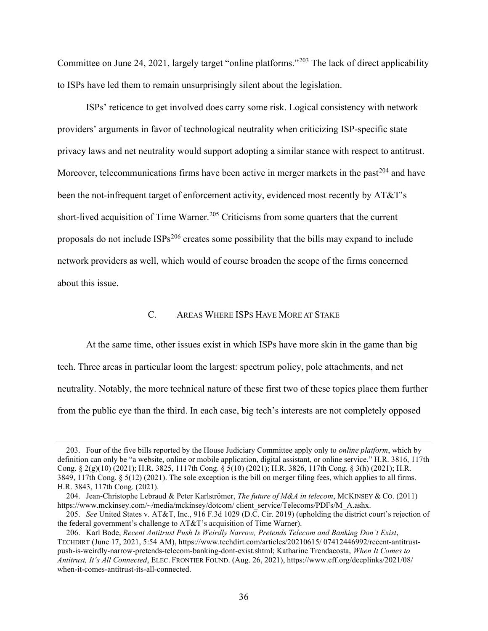Committee on June 24, 2021, largely target "online platforms."<sup>203</sup> The lack of direct applicability to ISPs have led them to remain unsurprisingly silent about the legislation.

ISPs' reticence to get involved does carry some risk. Logical consistency with network providers' arguments in favor of technological neutrality when criticizing ISP-specific state privacy laws and net neutrality would support adopting a similar stance with respect to antitrust. Moreover, telecommunications firms have been active in merger markets in the past<sup> $204$ </sup> and have been the not-infrequent target of enforcement activity, evidenced most recently by AT&T's short-lived acquisition of Time Warner.<sup>205</sup> Criticisms from some quarters that the current proposals do not include ISPs<sup>206</sup> creates some possibility that the bills may expand to include network providers as well, which would of course broaden the scope of the firms concerned about this issue.

### C. AREAS WHERE ISPS HAVE MORE AT STAKE

At the same time, other issues exist in which ISPs have more skin in the game than big tech. Three areas in particular loom the largest: spectrum policy, pole attachments, and net neutrality. Notably, the more technical nature of these first two of these topics place them further from the public eye than the third. In each case, big tech's interests are not completely opposed

<sup>203.</sup> Four of the five bills reported by the House Judiciary Committee apply only to *online platform*, which by definition can only be "a website, online or mobile application, digital assistant, or online service." H.R. 3816, 117th Cong. § 2(g)(10) (2021); H.R. 3825, 1117th Cong. § 5(10) (2021); H.R. 3826, 117th Cong. § 3(h) (2021); H.R. 3849, 117th Cong. § 5(12) (2021). The sole exception is the bill on merger filing fees, which applies to all firms. H.R. 3843, 117th Cong. (2021).

<sup>204.</sup> Jean-Christophe Lebraud & Peter Karlströmer, The future of M&A in telecom, MCKINSEY & CO. (2011) https://www.mckinsey.com/~/media/mckinsey/dotcom/ client\_service/Telecoms/PDFs/M\_A.ashx.

<sup>205.</sup> See United States v. AT&T, Inc., 916 F.3d 1029 (D.C. Cir. 2019) (upholding the district court's rejection of the federal government's challenge to AT&T's acquisition of Time Warner).

 <sup>206.</sup> Karl Bode, Recent Antitrust Push Is Weirdly Narrow, Pretends Telecom and Banking Don't Exist, TECHDIRT (June 17, 2021, 5:54 AM), https://www.techdirt.com/articles/20210615/ 07412446992/recent-antitrustpush-is-weirdly-narrow-pretends-telecom-banking-dont-exist.shtml; Katharine Trendacosta, When It Comes to Antitrust, It's All Connected, ELEC. FRONTIER FOUND. (Aug. 26, 2021), https://www.eff.org/deeplinks/2021/08/ when-it-comes-antitrust-its-all-connected.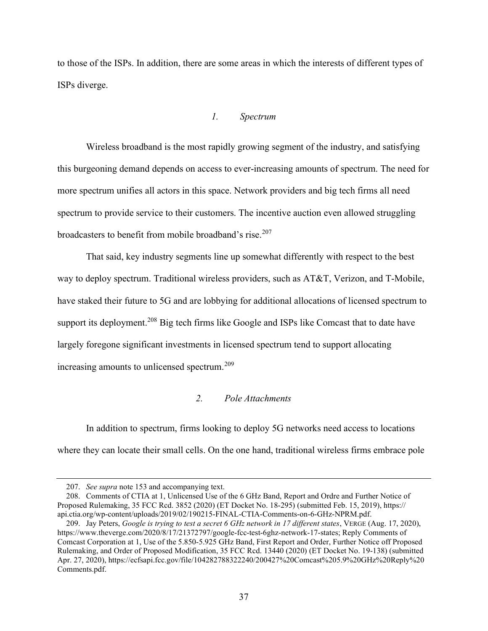to those of the ISPs. In addition, there are some areas in which the interests of different types of ISPs diverge.

## 1. Spectrum

Wireless broadband is the most rapidly growing segment of the industry, and satisfying this burgeoning demand depends on access to ever-increasing amounts of spectrum. The need for more spectrum unifies all actors in this space. Network providers and big tech firms all need spectrum to provide service to their customers. The incentive auction even allowed struggling broadcasters to benefit from mobile broadband's rise.<sup>207</sup>

That said, key industry segments line up somewhat differently with respect to the best way to deploy spectrum. Traditional wireless providers, such as AT&T, Verizon, and T-Mobile, have staked their future to 5G and are lobbying for additional allocations of licensed spectrum to support its deployment.<sup>208</sup> Big tech firms like Google and ISPs like Comcast that to date have largely foregone significant investments in licensed spectrum tend to support allocating increasing amounts to unlicensed spectrum.<sup>209</sup>

## 2. Pole Attachments

In addition to spectrum, firms looking to deploy 5G networks need access to locations where they can locate their small cells. On the one hand, traditional wireless firms embrace pole

 <sup>207.</sup> See supra note 153 and accompanying text.

 <sup>208.</sup> Comments of CTIA at 1, Unlicensed Use of the 6 GHz Band, Report and Ordre and Further Notice of Proposed Rulemaking, 35 FCC Rcd. 3852 (2020) (ET Docket No. 18-295) (submitted Feb. 15, 2019), https:// api.ctia.org/wp-content/uploads/2019/02/190215-FINAL-CTIA-Comments-on-6-GHz-NPRM.pdf.

 <sup>209.</sup> Jay Peters, Google is trying to test a secret 6 GHz network in 17 different states, VERGE (Aug. 17, 2020), https://www.theverge.com/2020/8/17/21372797/google-fcc-test-6ghz-network-17-states; Reply Comments of Comcast Corporation at 1, Use of the 5.850-5.925 GHz Band, First Report and Order, Further Notice off Proposed Rulemaking, and Order of Proposed Modification, 35 FCC Rcd. 13440 (2020) (ET Docket No. 19-138) (submitted Apr. 27, 2020), https://ecfsapi.fcc.gov/file/104282788322240/200427%20Comcast%205.9%20GHz%20Reply%20 Comments.pdf.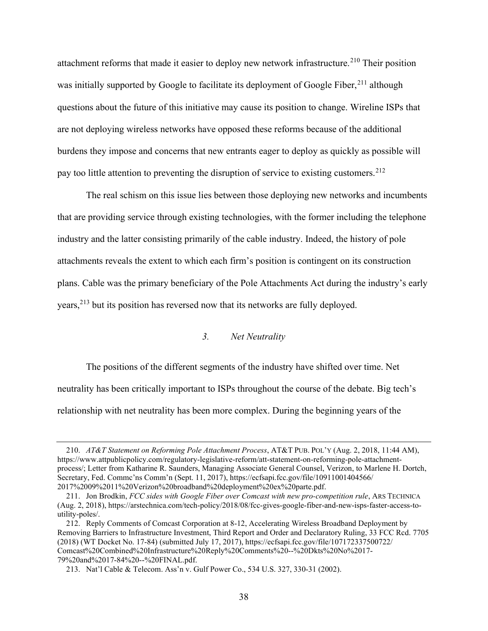attachment reforms that made it easier to deploy new network infrastructure.<sup>210</sup> Their position was initially supported by Google to facilitate its deployment of Google Fiber,  $211$  although questions about the future of this initiative may cause its position to change. Wireline ISPs that are not deploying wireless networks have opposed these reforms because of the additional burdens they impose and concerns that new entrants eager to deploy as quickly as possible will pay too little attention to preventing the disruption of service to existing customers.<sup>212</sup>

The real schism on this issue lies between those deploying new networks and incumbents that are providing service through existing technologies, with the former including the telephone industry and the latter consisting primarily of the cable industry. Indeed, the history of pole attachments reveals the extent to which each firm's position is contingent on its construction plans. Cable was the primary beneficiary of the Pole Attachments Act during the industry's early years,<sup>213</sup> but its position has reversed now that its networks are fully deployed.

#### 3. Net Neutrality

The positions of the different segments of the industry have shifted over time. Net neutrality has been critically important to ISPs throughout the course of the debate. Big tech's relationship with net neutrality has been more complex. During the beginning years of the

<sup>210.</sup> AT&T Statement on Reforming Pole Attachment Process, AT&T PUB. POL'Y (Aug. 2, 2018, 11:44 AM), https://www.attpublicpolicy.com/regulatory-legislative-reform/att-statement-on-reforming-pole-attachmentprocess/; Letter from Katharine R. Saunders, Managing Associate General Counsel, Verizon, to Marlene H. Dortch, Secretary, Fed. Commc'ns Comm'n (Sept. 11, 2017), https://ecfsapi.fcc.gov/file/10911001404566/ 2017%2009%2011%20Verizon%20broadband%20deployment%20ex%20parte.pdf.

 <sup>211.</sup> Jon Brodkin, FCC sides with Google Fiber over Comcast with new pro-competition rule, ARS TECHNICA (Aug. 2, 2018), https://arstechnica.com/tech-policy/2018/08/fcc-gives-google-fiber-and-new-isps-faster-access-toutility-poles/.

 <sup>212.</sup> Reply Comments of Comcast Corporation at 8-12, Accelerating Wireless Broadband Deployment by Removing Barriers to Infrastructure Investment, Third Report and Order and Declaratory Ruling, 33 FCC Rcd. 7705 (2018) (WT Docket No. 17-84) (submitted July 17, 2017), https://ecfsapi.fcc.gov/file/107172337500722/ Comcast%20Combined%20Infrastructure%20Reply%20Comments%20--%20Dkts%20No%2017- 79%20and%2017-84%20--%20FINAL.pdf.

 <sup>213.</sup> Nat'l Cable & Telecom. Ass'n v. Gulf Power Co., 534 U.S. 327, 330-31 (2002).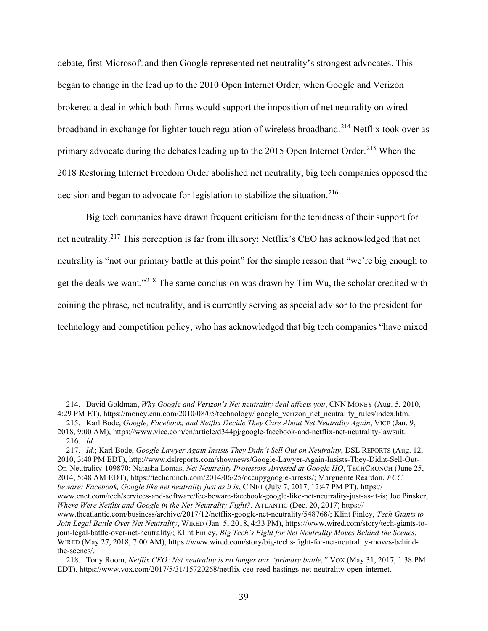debate, first Microsoft and then Google represented net neutrality's strongest advocates. This began to change in the lead up to the 2010 Open Internet Order, when Google and Verizon brokered a deal in which both firms would support the imposition of net neutrality on wired broadband in exchange for lighter touch regulation of wireless broadband.<sup>214</sup> Netflix took over as primary advocate during the debates leading up to the 2015 Open Internet Order.<sup>215</sup> When the 2018 Restoring Internet Freedom Order abolished net neutrality, big tech companies opposed the decision and began to advocate for legislation to stabilize the situation.<sup>216</sup>

Big tech companies have drawn frequent criticism for the tepidness of their support for net neutrality.<sup>217</sup> This perception is far from illusory: Netflix's CEO has acknowledged that net neutrality is "not our primary battle at this point" for the simple reason that "we're big enough to get the deals we want."<sup>218</sup> The same conclusion was drawn by Tim Wu, the scholar credited with coining the phrase, net neutrality, and is currently serving as special advisor to the president for technology and competition policy, who has acknowledged that big tech companies "have mixed

 <sup>214.</sup> David Goldman, Why Google and Verizon's Net neutrality deal affects you, CNN MONEY (Aug. 5, 2010, 4:29 PM ET), https://money.cnn.com/2010/08/05/technology/ google\_verizon\_net\_neutrality\_rules/index.htm.

 <sup>215.</sup> Karl Bode, Google, Facebook, and Netflix Decide They Care About Net Neutrality Again, VICE (Jan. 9, 2018, 9:00 AM), https://www.vice.com/en/article/d344pj/google-facebook-and-netflix-net-neutrality-lawsuit. 216. Id.

<sup>217.</sup> Id.; Karl Bode, Google Lawyer Again Insists They Didn't Sell Out on Neutrality, DSL REPORTS (Aug. 12, 2010, 3:40 PM EDT), http://www.dslreports.com/shownews/Google-Lawyer-Again-Insists-They-Didnt-Sell-Out-On-Neutrality-109870; Natasha Lomas, Net Neutrality Protestors Arrested at Google HQ, TECHCRUNCH (June 25, 2014, 5:48 AM EDT), https://techcrunch.com/2014/06/25/occupygoogle-arrests/; Marguerite Reardon, FCC beware: Facebook, Google like net neutrality just as it is, C|NET (July 7, 2017, 12:47 PM PT), https://

www.cnet.com/tech/services-and-software/fcc-beware-facebook-google-like-net-neutrality-just-as-it-is; Joe Pinsker, Where Were Netflix and Google in the Net-Neutrality Fight?, ATLANTIC (Dec. 20, 2017) https://

www.theatlantic.com/business/archive/2017/12/netflix-google-net-neutrality/548768/; Klint Finley, Tech Giants to Join Legal Battle Over Net Neutrality, WIRED (Jan. 5, 2018, 4:33 PM), https://www.wired.com/story/tech-giants-tojoin-legal-battle-over-net-neutrality/; Klint Finley, Big Tech's Fight for Net Neutrality Moves Behind the Scenes, WIRED (May 27, 2018, 7:00 AM), https://www.wired.com/story/big-techs-fight-for-net-neutrality-moves-behindthe-scenes/.

<sup>218.</sup> Tony Room, Netflix CEO: Net neutrality is no longer our "primary battle," VOX (May 31, 2017, 1:38 PM EDT), https://www.vox.com/2017/5/31/15720268/netflix-ceo-reed-hastings-net-neutrality-open-internet.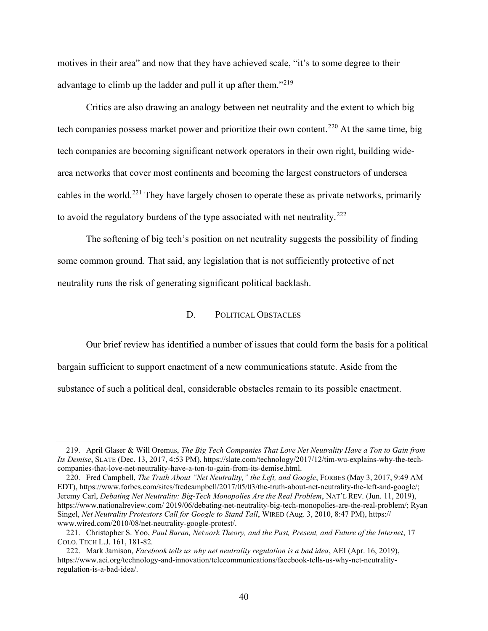motives in their area" and now that they have achieved scale, "it's to some degree to their advantage to climb up the ladder and pull it up after them."<sup>219</sup>

Critics are also drawing an analogy between net neutrality and the extent to which big tech companies possess market power and prioritize their own content.<sup>220</sup> At the same time, big tech companies are becoming significant network operators in their own right, building widearea networks that cover most continents and becoming the largest constructors of undersea cables in the world.<sup>221</sup> They have largely chosen to operate these as private networks, primarily to avoid the regulatory burdens of the type associated with net neutrality.<sup>222</sup>

The softening of big tech's position on net neutrality suggests the possibility of finding some common ground. That said, any legislation that is not sufficiently protective of net neutrality runs the risk of generating significant political backlash.

## D. POLITICAL OBSTACLES

Our brief review has identified a number of issues that could form the basis for a political

bargain sufficient to support enactment of a new communications statute. Aside from the

substance of such a political deal, considerable obstacles remain to its possible enactment.

 <sup>219.</sup> April Glaser & Will Oremus, The Big Tech Companies That Love Net Neutrality Have a Ton to Gain from Its Demise, SLATE (Dec. 13, 2017, 4:53 PM), https://slate.com/technology/2017/12/tim-wu-explains-why-the-techcompanies-that-love-net-neutrality-have-a-ton-to-gain-from-its-demise.html.

<sup>220.</sup> Fred Campbell, The Truth About "Net Neutrality," the Left, and Google, FORBES (May 3, 2017, 9:49 AM EDT), https://www.forbes.com/sites/fredcampbell/2017/05/03/the-truth-about-net-neutrality-the-left-and-google/; Jeremy Carl, Debating Net Neutrality: Big-Tech Monopolies Are the Real Problem, NAT'L REV. (Jun. 11, 2019), https://www.nationalreview.com/ 2019/06/debating-net-neutrality-big-tech-monopolies-are-the-real-problem/; Ryan Singel, Net Neutrality Protestors Call for Google to Stand Tall, WIRED (Aug. 3, 2010, 8:47 PM), https:// www.wired.com/2010/08/net-neutrality-google-protest/.

<sup>221.</sup> Christopher S. Yoo, Paul Baran, Network Theory, and the Past, Present, and Future of the Internet, 17 COLO. TECH L.J. 161, 181-82.

<sup>222.</sup> Mark Jamison, Facebook tells us why net neutrality regulation is a bad idea, AEI (Apr. 16, 2019), https://www.aei.org/technology-and-innovation/telecommunications/facebook-tells-us-why-net-neutralityregulation-is-a-bad-idea/.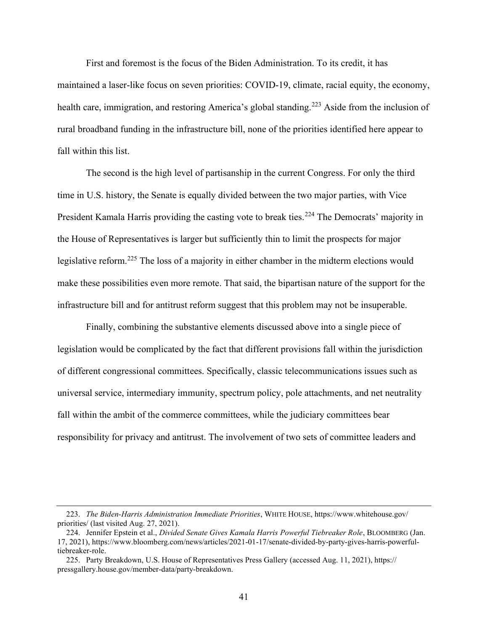First and foremost is the focus of the Biden Administration. To its credit, it has maintained a laser-like focus on seven priorities: COVID-19, climate, racial equity, the economy, health care, immigration, and restoring America's global standing.<sup>223</sup> Aside from the inclusion of rural broadband funding in the infrastructure bill, none of the priorities identified here appear to fall within this list.

The second is the high level of partisanship in the current Congress. For only the third time in U.S. history, the Senate is equally divided between the two major parties, with Vice President Kamala Harris providing the casting vote to break ties.<sup>224</sup> The Democrats' majority in the House of Representatives is larger but sufficiently thin to limit the prospects for major legislative reform.<sup>225</sup> The loss of a majority in either chamber in the midterm elections would make these possibilities even more remote. That said, the bipartisan nature of the support for the infrastructure bill and for antitrust reform suggest that this problem may not be insuperable.

Finally, combining the substantive elements discussed above into a single piece of legislation would be complicated by the fact that different provisions fall within the jurisdiction of different congressional committees. Specifically, classic telecommunications issues such as universal service, intermediary immunity, spectrum policy, pole attachments, and net neutrality fall within the ambit of the commerce committees, while the judiciary committees bear responsibility for privacy and antitrust. The involvement of two sets of committee leaders and

<sup>223.</sup> The Biden-Harris Administration Immediate Priorities, WHITE HOUSE, https://www.whitehouse.gov/ priorities/ (last visited Aug. 27, 2021).

<sup>224.</sup> Jennifer Epstein et al., Divided Senate Gives Kamala Harris Powerful Tiebreaker Role, BLOOMBERG (Jan. 17, 2021), https://www.bloomberg.com/news/articles/2021-01-17/senate-divided-by-party-gives-harris-powerfultiebreaker-role.

 <sup>225.</sup> Party Breakdown, U.S. House of Representatives Press Gallery (accessed Aug. 11, 2021), https:// pressgallery.house.gov/member-data/party-breakdown.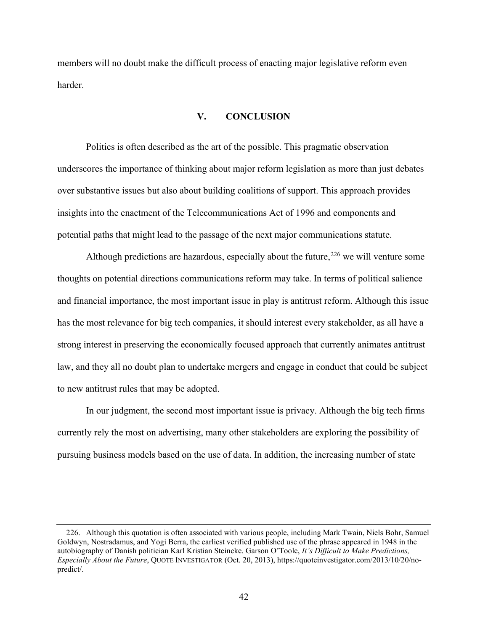members will no doubt make the difficult process of enacting major legislative reform even harder.

#### V. CONCLUSION

Politics is often described as the art of the possible. This pragmatic observation underscores the importance of thinking about major reform legislation as more than just debates over substantive issues but also about building coalitions of support. This approach provides insights into the enactment of the Telecommunications Act of 1996 and components and potential paths that might lead to the passage of the next major communications statute.

Although predictions are hazardous, especially about the future,  $226$  we will venture some thoughts on potential directions communications reform may take. In terms of political salience and financial importance, the most important issue in play is antitrust reform. Although this issue has the most relevance for big tech companies, it should interest every stakeholder, as all have a strong interest in preserving the economically focused approach that currently animates antitrust law, and they all no doubt plan to undertake mergers and engage in conduct that could be subject to new antitrust rules that may be adopted.

In our judgment, the second most important issue is privacy. Although the big tech firms currently rely the most on advertising, many other stakeholders are exploring the possibility of pursuing business models based on the use of data. In addition, the increasing number of state

 <sup>226.</sup> Although this quotation is often associated with various people, including Mark Twain, Niels Bohr, Samuel Goldwyn, Nostradamus, and Yogi Berra, the earliest verified published use of the phrase appeared in 1948 in the autobiography of Danish politician Karl Kristian Steincke. Garson O'Toole, It's Difficult to Make Predictions, Especially About the Future, QUOTE INVESTIGATOR (Oct. 20, 2013), https://quoteinvestigator.com/2013/10/20/nopredict/.